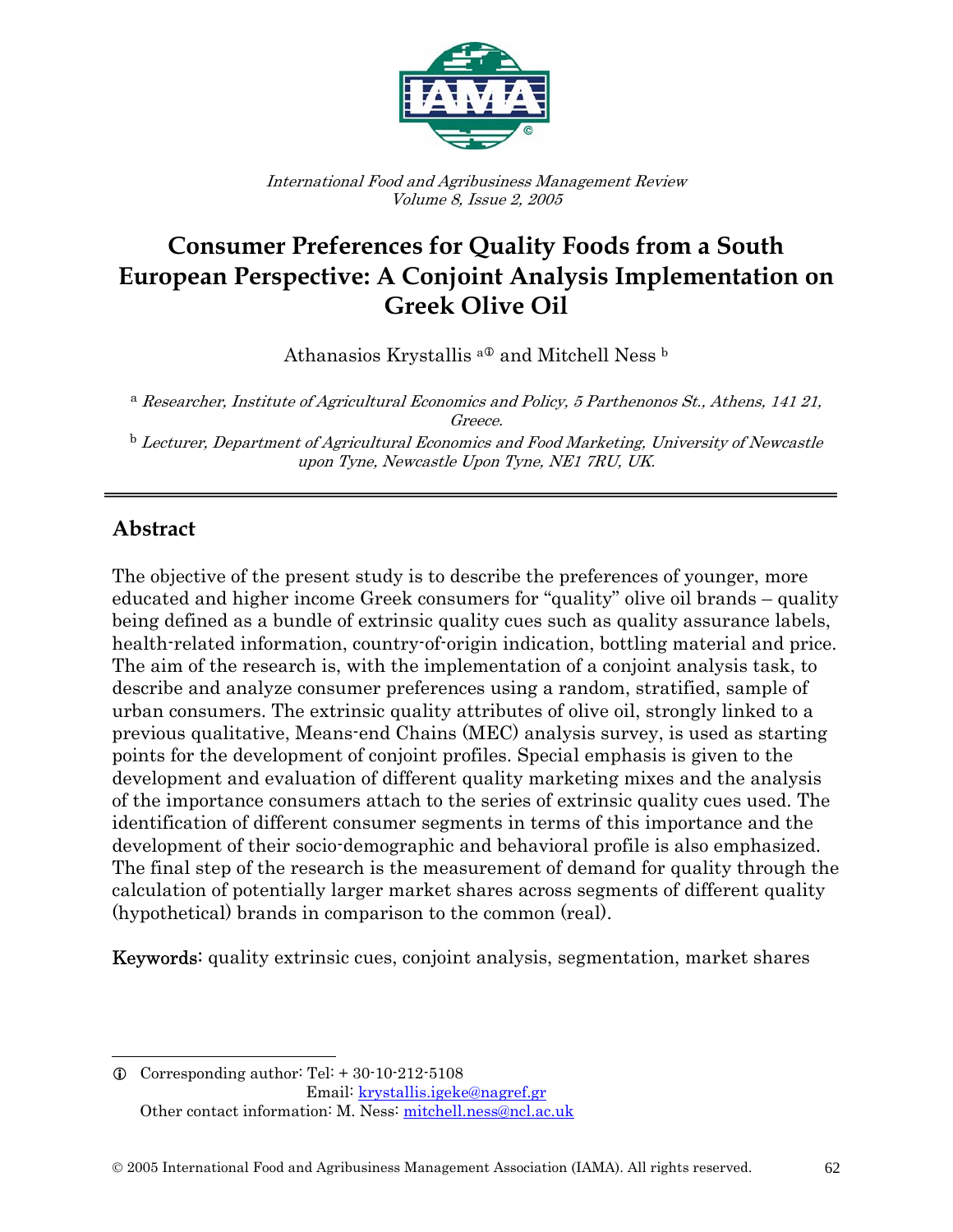

International Food and Agribusiness Management Review Volume 8, Issue 2, 2005

# **Consumer Preferences for Quality Foods from a South European Perspective: A Conjoint Analysis Implementation on Greek Olive Oil**

Athanasios Krystallis <sup>a 0</sup> and Mitchell Ness b

a Researcher, Institute of Agricultural Economics and Policy, 5 Parthenonos St., Athens, 141 21, Greece.

<sup>b</sup> Lecturer, Department of Agricultural Economics and Food Marketing, University of Newcastle upon Tyne, Newcastle Upon Tyne, NE1 7RU, UK.

# **Abstract**

٦

 $\overline{a}$ 

The objective of the present study is to describe the preferences of younger, more educated and higher income Greek consumers for "quality" olive oil brands – quality being defined as a bundle of extrinsic quality cues such as quality assurance labels, health-related information, country-of-origin indication, bottling material and price. The aim of the research is, with the implementation of a conjoint analysis task, to describe and analyze consumer preferences using a random, stratified, sample of urban consumers. The extrinsic quality attributes of olive oil, strongly linked to a previous qualitative, Means-end Chains (MEC) analysis survey, is used as starting points for the development of conjoint profiles. Special emphasis is given to the development and evaluation of different quality marketing mixes and the analysis of the importance consumers attach to the series of extrinsic quality cues used. The identification of different consumer segments in terms of this importance and the development of their socio-demographic and behavioral profile is also emphasized. The final step of the research is the measurement of demand for quality through the calculation of potentially larger market shares across segments of different quality (hypothetical) brands in comparison to the common (real).

Keywords: quality extrinsic cues, conjoint analysis, segmentation, market shares

 $\odot$  Corresponding author: Tel: + 30-10-212-5108 Email: krystallis.igeke@nagref.gr Other contact information: M. Ness: mitchell.ness@ncl.ac.uk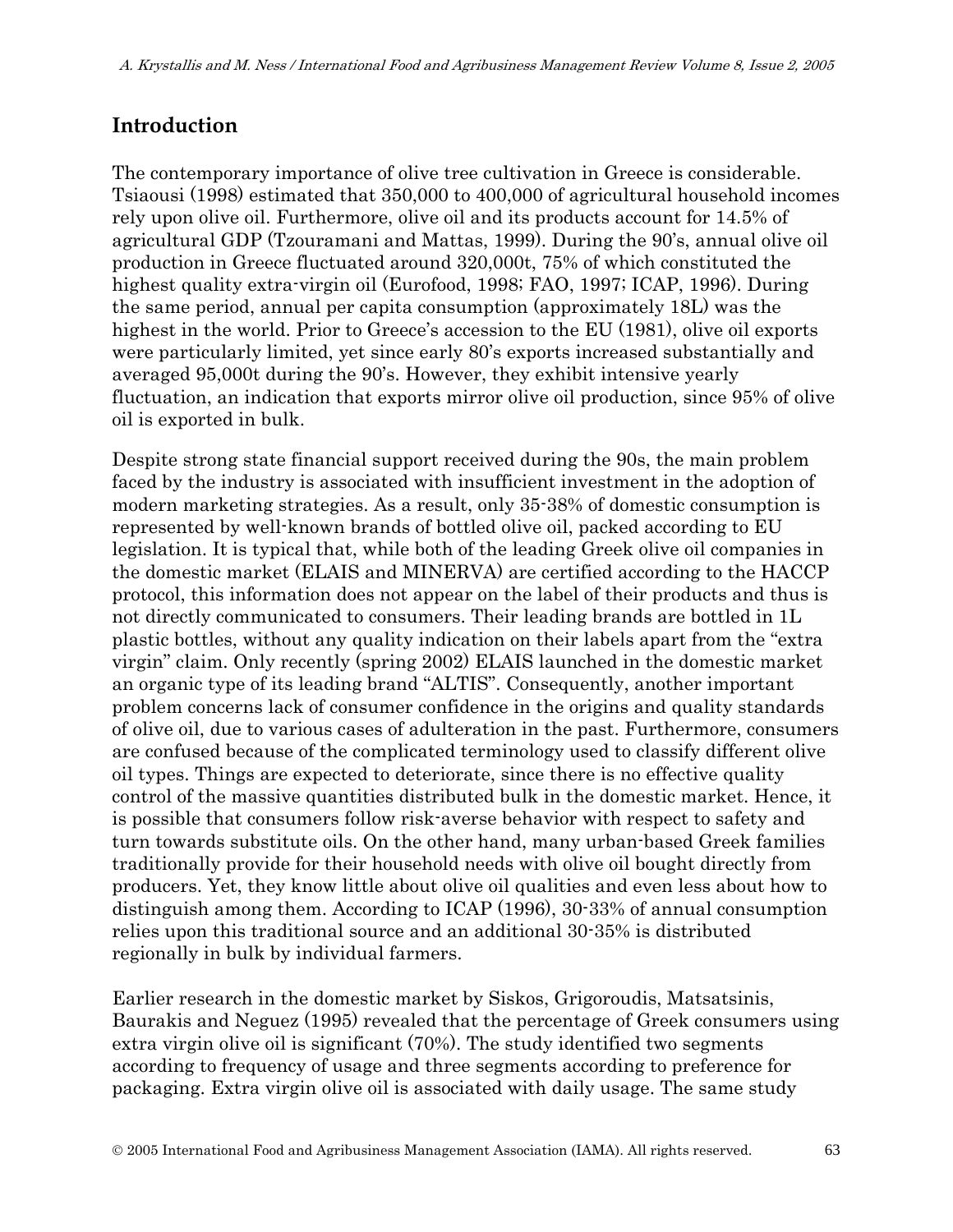# **Introduction**

The contemporary importance of olive tree cultivation in Greece is considerable. Tsiaousi (1998) estimated that 350,000 to 400,000 of agricultural household incomes rely upon olive oil. Furthermore, olive oil and its products account for 14.5% of agricultural GDP (Tzouramani and Mattas, 1999). During the 90's, annual olive oil production in Greece fluctuated around 320,000t, 75% of which constituted the highest quality extra-virgin oil (Eurofood, 1998; FAO, 1997; ICAP, 1996). During the same period, annual per capita consumption (approximately 18L) was the highest in the world. Prior to Greece's accession to the EU (1981), olive oil exports were particularly limited, yet since early 80's exports increased substantially and averaged 95,000t during the 90's. However, they exhibit intensive yearly fluctuation, an indication that exports mirror olive oil production, since 95% of olive oil is exported in bulk.

Despite strong state financial support received during the 90s, the main problem faced by the industry is associated with insufficient investment in the adoption of modern marketing strategies. As a result, only 35-38% of domestic consumption is represented by well-known brands of bottled olive oil, packed according to EU legislation. It is typical that, while both of the leading Greek olive oil companies in the domestic market (ELAIS and MINERVA) are certified according to the HACCP protocol, this information does not appear on the label of their products and thus is not directly communicated to consumers. Their leading brands are bottled in 1L plastic bottles, without any quality indication on their labels apart from the "extra virgin" claim. Only recently (spring 2002) ELAIS launched in the domestic market an organic type of its leading brand "ALTIS". Consequently, another important problem concerns lack of consumer confidence in the origins and quality standards of olive oil, due to various cases of adulteration in the past. Furthermore, consumers are confused because of the complicated terminology used to classify different olive oil types. Things are expected to deteriorate, since there is no effective quality control of the massive quantities distributed bulk in the domestic market. Hence, it is possible that consumers follow risk-averse behavior with respect to safety and turn towards substitute oils. On the other hand, many urban-based Greek families traditionally provide for their household needs with olive oil bought directly from producers. Yet, they know little about olive oil qualities and even less about how to distinguish among them. According to ICAP (1996), 30-33% of annual consumption relies upon this traditional source and an additional 30-35% is distributed regionally in bulk by individual farmers.

Earlier research in the domestic market by Siskos, Grigoroudis, Matsatsinis, Baurakis and Neguez (1995) revealed that the percentage of Greek consumers using extra virgin olive oil is significant (70%). The study identified two segments according to frequency of usage and three segments according to preference for packaging. Extra virgin olive oil is associated with daily usage. The same study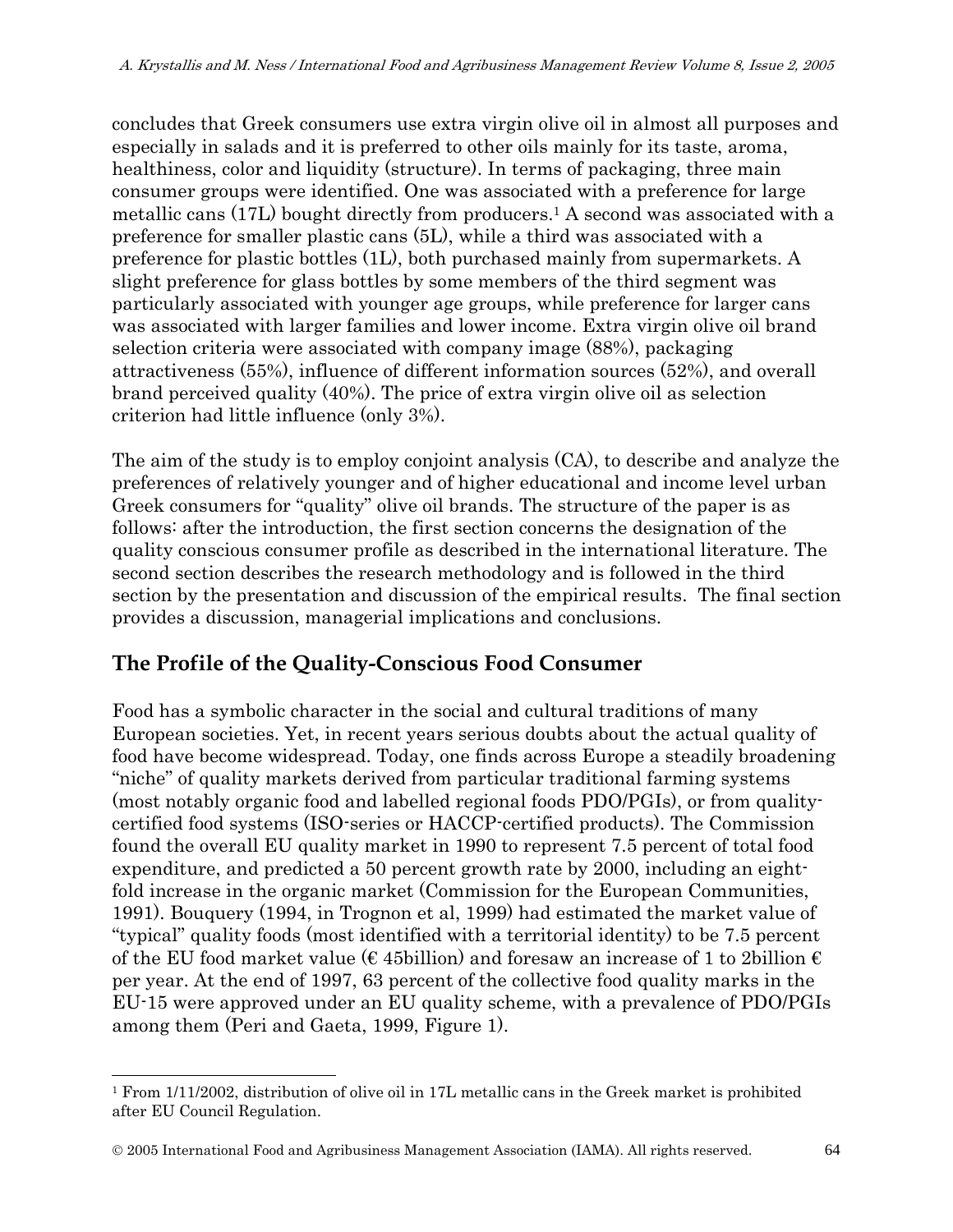concludes that Greek consumers use extra virgin olive oil in almost all purposes and especially in salads and it is preferred to other oils mainly for its taste, aroma, healthiness, color and liquidity (structure). In terms of packaging, three main consumer groups were identified. One was associated with a preference for large metallic cans (17L) bought directly from producers.1 A second was associated with a preference for smaller plastic cans (5L), while a third was associated with a preference for plastic bottles (1L), both purchased mainly from supermarkets. A slight preference for glass bottles by some members of the third segment was particularly associated with younger age groups, while preference for larger cans was associated with larger families and lower income. Extra virgin olive oil brand selection criteria were associated with company image (88%), packaging attractiveness (55%), influence of different information sources (52%), and overall brand perceived quality (40%). The price of extra virgin olive oil as selection criterion had little influence (only 3%).

The aim of the study is to employ conjoint analysis (CA), to describe and analyze the preferences of relatively younger and of higher educational and income level urban Greek consumers for "quality" olive oil brands. The structure of the paper is as follows: after the introduction, the first section concerns the designation of the quality conscious consumer profile as described in the international literature. The second section describes the research methodology and is followed in the third section by the presentation and discussion of the empirical results. The final section provides a discussion, managerial implications and conclusions.

# **The Profile of the Quality-Conscious Food Consumer**

Food has a symbolic character in the social and cultural traditions of many European societies. Yet, in recent years serious doubts about the actual quality of food have become widespread. Today, one finds across Europe a steadily broadening "niche" of quality markets derived from particular traditional farming systems (most notably organic food and labelled regional foods PDO/PGIs), or from qualitycertified food systems (ISO-series or HACCP-certified products). The Commission found the overall EU quality market in 1990 to represent 7.5 percent of total food expenditure, and predicted a 50 percent growth rate by 2000, including an eightfold increase in the organic market (Commission for the European Communities, 1991). Bouquery (1994, in Trognon et al, 1999) had estimated the market value of "typical" quality foods (most identified with a territorial identity) to be 7.5 percent of the EU food market value ( $\epsilon$  45billion) and foresaw an increase of 1 to 2billion  $\epsilon$ per year. At the end of 1997, 63 percent of the collective food quality marks in the EU-15 were approved under an EU quality scheme, with a prevalence of PDO/PGIs among them (Peri and Gaeta, 1999, Figure 1).

© 2005 International Food and Agribusiness Management Association (IAMA). All rights reserved. 64

l

<sup>1</sup> From 1/11/2002, distribution of olive oil in 17L metallic cans in the Greek market is prohibited after EU Council Regulation.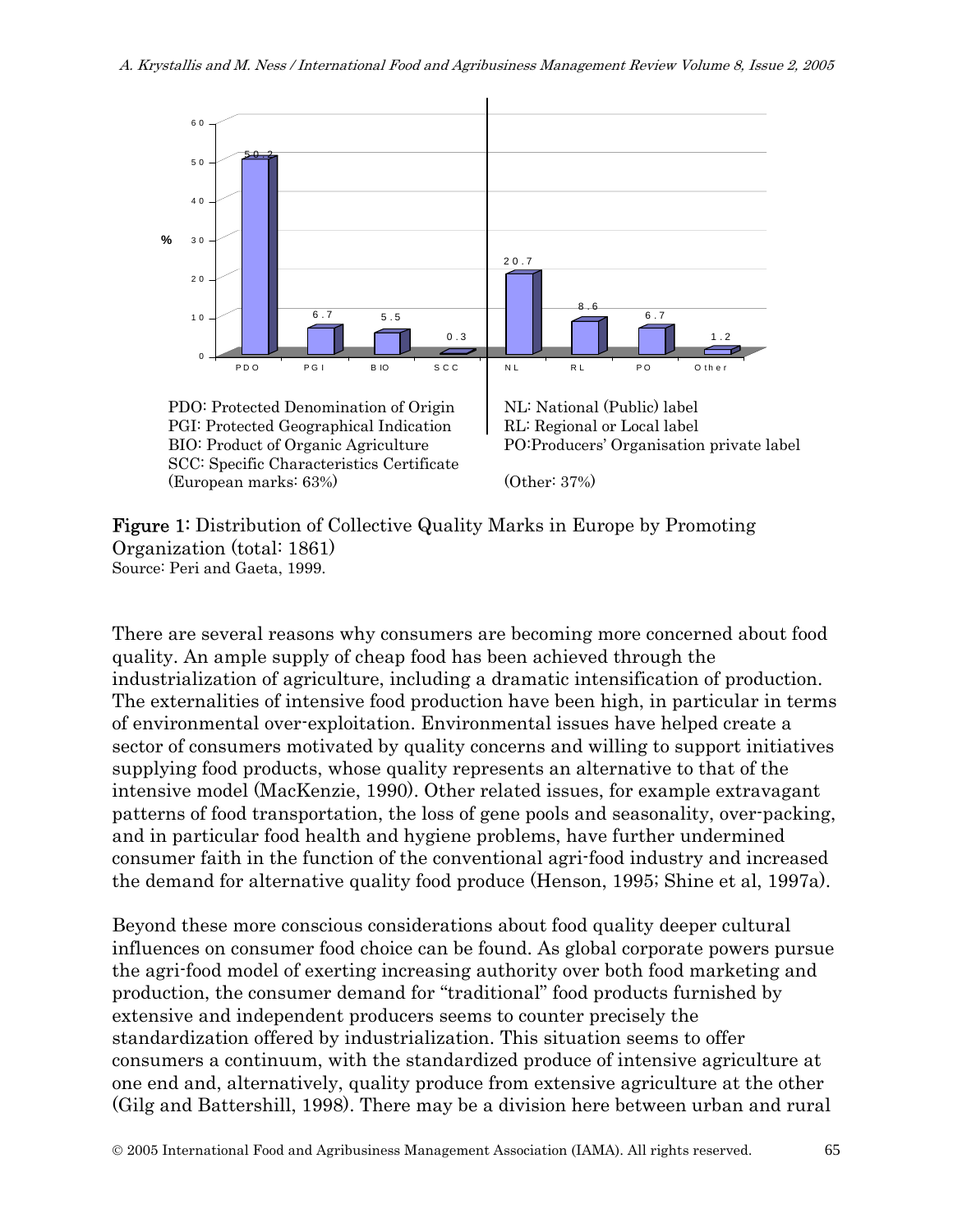

Figure 1: Distribution of Collective Quality Marks in Europe by Promoting Organization (total: 1861) Source: Peri and Gaeta, 1999.

There are several reasons why consumers are becoming more concerned about food quality. An ample supply of cheap food has been achieved through the industrialization of agriculture, including a dramatic intensification of production. The externalities of intensive food production have been high, in particular in terms of environmental over-exploitation. Environmental issues have helped create a sector of consumers motivated by quality concerns and willing to support initiatives supplying food products, whose quality represents an alternative to that of the intensive model (MacKenzie, 1990). Other related issues, for example extravagant patterns of food transportation, the loss of gene pools and seasonality, over-packing, and in particular food health and hygiene problems, have further undermined consumer faith in the function of the conventional agri-food industry and increased the demand for alternative quality food produce (Henson, 1995; Shine et al, 1997a).

Beyond these more conscious considerations about food quality deeper cultural influences on consumer food choice can be found. As global corporate powers pursue the agri-food model of exerting increasing authority over both food marketing and production, the consumer demand for "traditional" food products furnished by extensive and independent producers seems to counter precisely the standardization offered by industrialization. This situation seems to offer consumers a continuum, with the standardized produce of intensive agriculture at one end and, alternatively, quality produce from extensive agriculture at the other (Gilg and Battershill, 1998). There may be a division here between urban and rural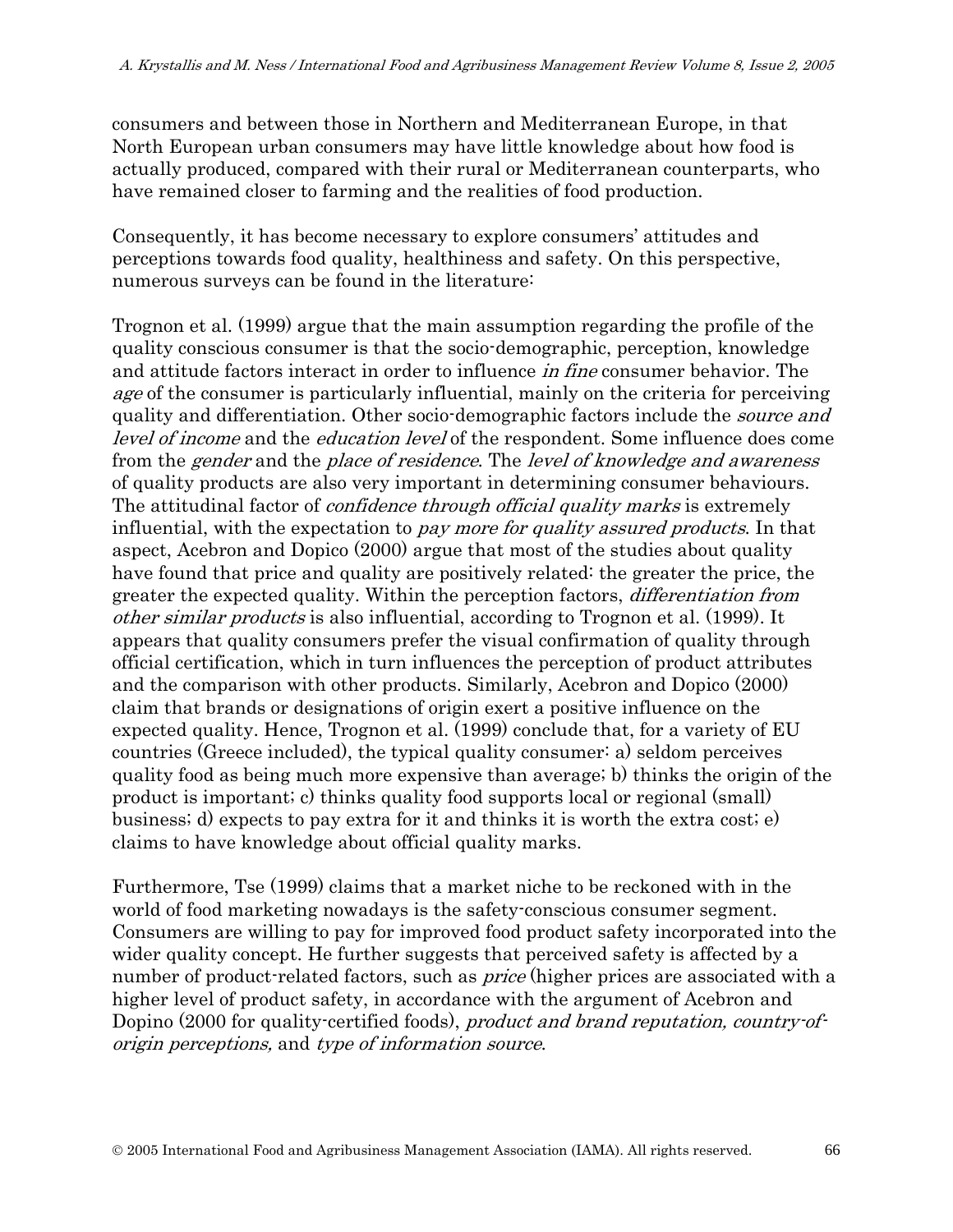consumers and between those in Northern and Mediterranean Europe, in that North European urban consumers may have little knowledge about how food is actually produced, compared with their rural or Mediterranean counterparts, who have remained closer to farming and the realities of food production.

Consequently, it has become necessary to explore consumers' attitudes and perceptions towards food quality, healthiness and safety. On this perspective, numerous surveys can be found in the literature:

Trognon et al. (1999) argue that the main assumption regarding the profile of the quality conscious consumer is that the socio-demographic, perception, knowledge and attitude factors interact in order to influence *in fine* consumer behavior. The age of the consumer is particularly influential, mainly on the criteria for perceiving quality and differentiation. Other socio-demographic factors include the *source and* level of income and the education level of the respondent. Some influence does come from the gender and the place of residence. The level of knowledge and awareness of quality products are also very important in determining consumer behaviours. The attitudinal factor of *confidence through official quality marks* is extremely influential, with the expectation to pay more for quality assured products. In that aspect, Acebron and Dopico (2000) argue that most of the studies about quality have found that price and quality are positively related: the greater the price, the greater the expected quality. Within the perception factors, differentiation from other similar products is also influential, according to Trognon et al. (1999). It appears that quality consumers prefer the visual confirmation of quality through official certification, which in turn influences the perception of product attributes and the comparison with other products. Similarly, Acebron and Dopico (2000) claim that brands or designations of origin exert a positive influence on the expected quality. Hence, Trognon et al. (1999) conclude that, for a variety of EU countries (Greece included), the typical quality consumer: a) seldom perceives quality food as being much more expensive than average; b) thinks the origin of the product is important; c) thinks quality food supports local or regional (small) business; d) expects to pay extra for it and thinks it is worth the extra cost; e) claims to have knowledge about official quality marks.

Furthermore, Tse (1999) claims that a market niche to be reckoned with in the world of food marketing nowadays is the safety-conscious consumer segment. Consumers are willing to pay for improved food product safety incorporated into the wider quality concept. He further suggests that perceived safety is affected by a number of product-related factors, such as *price* (higher prices are associated with a higher level of product safety, in accordance with the argument of Acebron and Dopino (2000 for quality-certified foods), *product and brand reputation, country-of*origin perceptions, and type of information source.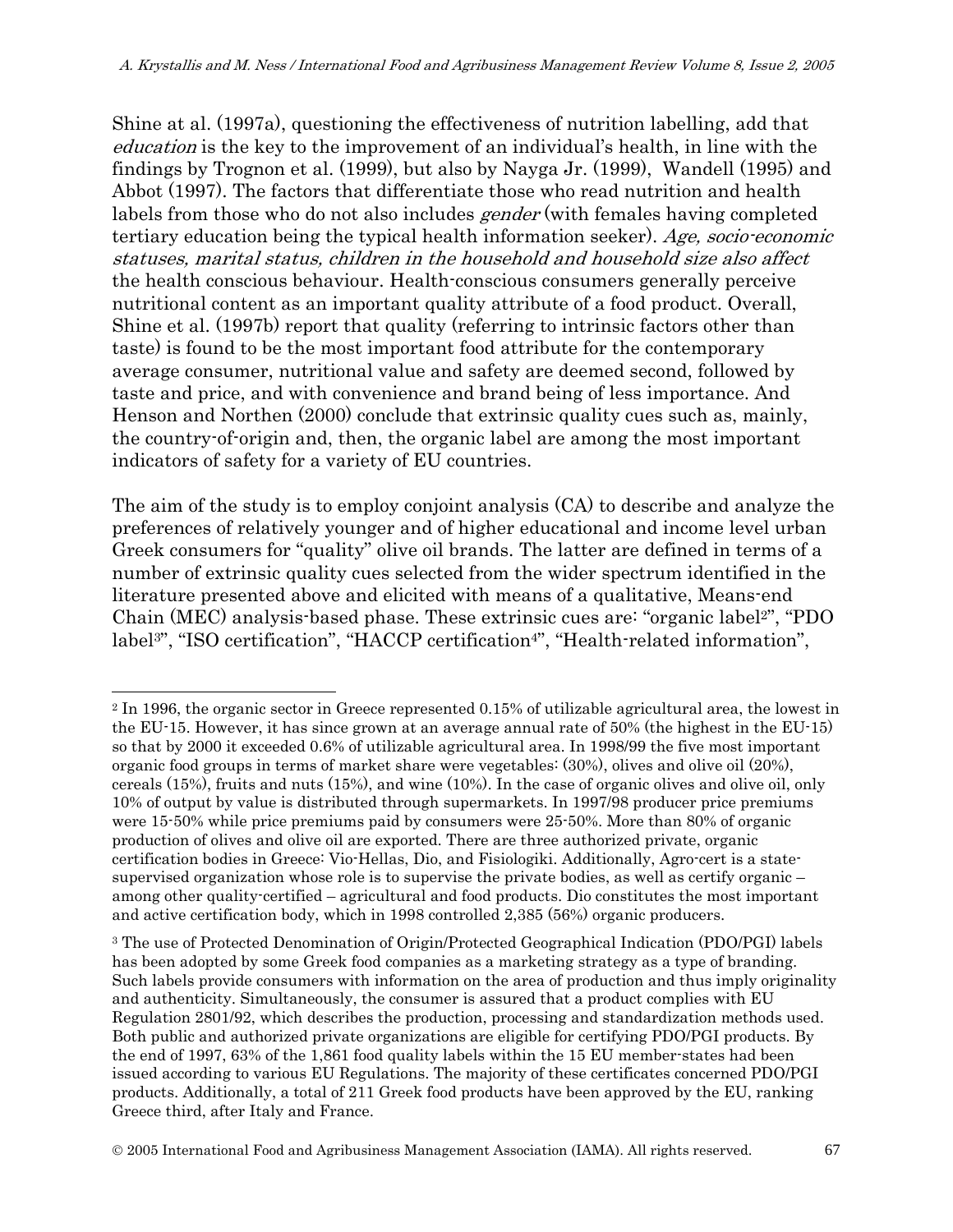Shine at al. (1997a), questioning the effectiveness of nutrition labelling, add that education is the key to the improvement of an individual's health, in line with the findings by Trognon et al. (1999), but also by Nayga Jr. (1999), Wandell (1995) and Abbot (1997). The factors that differentiate those who read nutrition and health labels from those who do not also includes *gender* (with females having completed tertiary education being the typical health information seeker). Age, socio-economic statuses, marital status, children in the household and household size also affect the health conscious behaviour. Health-conscious consumers generally perceive nutritional content as an important quality attribute of a food product. Overall, Shine et al. (1997b) report that quality (referring to intrinsic factors other than taste) is found to be the most important food attribute for the contemporary average consumer, nutritional value and safety are deemed second, followed by taste and price, and with convenience and brand being of less importance. And Henson and Northen (2000) conclude that extrinsic quality cues such as, mainly, the country-of-origin and, then, the organic label are among the most important indicators of safety for a variety of EU countries.

The aim of the study is to employ conjoint analysis (CA) to describe and analyze the preferences of relatively younger and of higher educational and income level urban Greek consumers for "quality" olive oil brands. The latter are defined in terms of a number of extrinsic quality cues selected from the wider spectrum identified in the literature presented above and elicited with means of a qualitative, Means-end Chain (MEC) analysis-based phase. These extrinsic cues are: "organic label2", "PDO label<sup>3"</sup>, "ISO certification", "HACCP certification<sup>4</sup>", "Health-related information",

 $\overline{a}$ 

<sup>2</sup> In 1996, the organic sector in Greece represented 0.15% of utilizable agricultural area, the lowest in the EU-15. However, it has since grown at an average annual rate of 50% (the highest in the EU-15) so that by 2000 it exceeded 0.6% of utilizable agricultural area. In 1998/99 the five most important organic food groups in terms of market share were vegetables: (30%), olives and olive oil (20%), cereals (15%), fruits and nuts (15%), and wine (10%). In the case of organic olives and olive oil, only 10% of output by value is distributed through supermarkets. In 1997/98 producer price premiums were 15-50% while price premiums paid by consumers were 25-50%. More than 80% of organic production of olives and olive oil are exported. There are three authorized private, organic certification bodies in Greece: Vio-Hellas, Dio, and Fisiologiki. Additionally, Agro-cert is a statesupervised organization whose role is to supervise the private bodies, as well as certify organic – among other quality-certified – agricultural and food products. Dio constitutes the most important and active certification body, which in 1998 controlled 2,385 (56%) organic producers.

<sup>3</sup> The use of Protected Denomination of Origin/Protected Geographical Indication (PDO/PGI) labels has been adopted by some Greek food companies as a marketing strategy as a type of branding. Such labels provide consumers with information on the area of production and thus imply originality and authenticity. Simultaneously, the consumer is assured that a product complies with EU Regulation 2801/92, which describes the production, processing and standardization methods used. Both public and authorized private organizations are eligible for certifying PDO/PGI products. By the end of 1997, 63% of the 1,861 food quality labels within the 15 EU member-states had been issued according to various EU Regulations. The majority of these certificates concerned PDO/PGI products. Additionally, a total of 211 Greek food products have been approved by the EU, ranking Greece third, after Italy and France.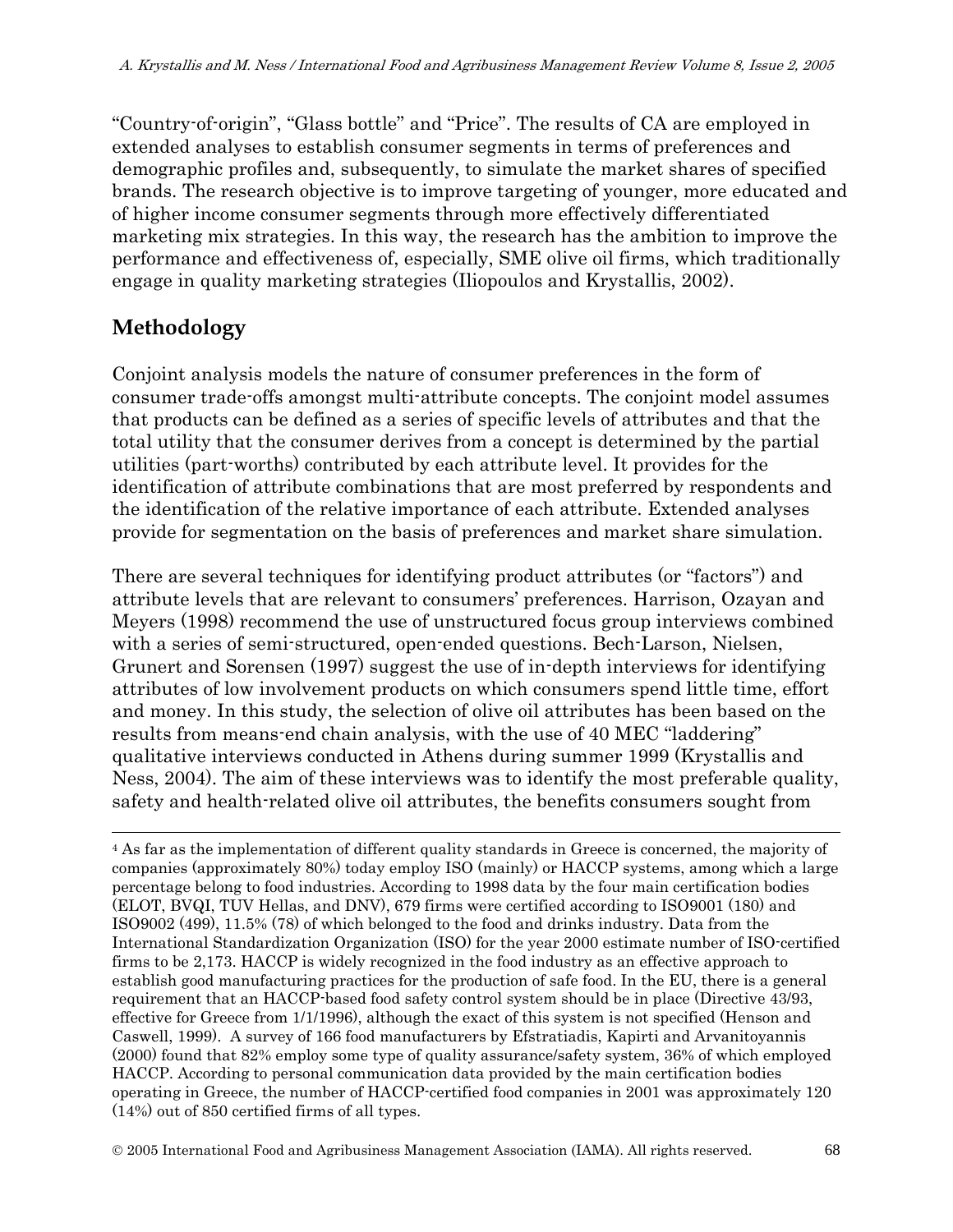"Country-of-origin", "Glass bottle" and "Price". The results of CA are employed in extended analyses to establish consumer segments in terms of preferences and demographic profiles and, subsequently, to simulate the market shares of specified brands. The research objective is to improve targeting of younger, more educated and of higher income consumer segments through more effectively differentiated marketing mix strategies. In this way, the research has the ambition to improve the performance and effectiveness of, especially, SME olive oil firms, which traditionally engage in quality marketing strategies (Iliopoulos and Krystallis, 2002).

# **Methodology**

 $\overline{a}$ 

Conjoint analysis models the nature of consumer preferences in the form of consumer trade-offs amongst multi-attribute concepts. The conjoint model assumes that products can be defined as a series of specific levels of attributes and that the total utility that the consumer derives from a concept is determined by the partial utilities (part-worths) contributed by each attribute level. It provides for the identification of attribute combinations that are most preferred by respondents and the identification of the relative importance of each attribute. Extended analyses provide for segmentation on the basis of preferences and market share simulation.

There are several techniques for identifying product attributes (or "factors") and attribute levels that are relevant to consumers' preferences. Harrison, Ozayan and Meyers (1998) recommend the use of unstructured focus group interviews combined with a series of semi-structured, open-ended questions. Bech-Larson, Nielsen, Grunert and Sorensen (1997) suggest the use of in-depth interviews for identifying attributes of low involvement products on which consumers spend little time, effort and money. In this study, the selection of olive oil attributes has been based on the results from means-end chain analysis, with the use of 40 MEC "laddering" qualitative interviews conducted in Athens during summer 1999 (Krystallis and Ness, 2004). The aim of these interviews was to identify the most preferable quality, safety and health-related olive oil attributes, the benefits consumers sought from

<sup>4</sup> As far as the implementation of different quality standards in Greece is concerned, the majority of companies (approximately 80%) today employ ISO (mainly) or HACCP systems, among which a large percentage belong to food industries. According to 1998 data by the four main certification bodies (ELOT, BVQI, TUV Hellas, and DNV), 679 firms were certified according to ISO9001 (180) and ISO9002 (499), 11.5% (78) of which belonged to the food and drinks industry. Data from the International Standardization Organization (ISO) for the year 2000 estimate number of ISO-certified firms to be 2,173. HACCP is widely recognized in the food industry as an effective approach to establish good manufacturing practices for the production of safe food. In the EU, there is a general requirement that an HACCP-based food safety control system should be in place (Directive 43/93, effective for Greece from 1/1/1996), although the exact of this system is not specified (Henson and Caswell, 1999). A survey of 166 food manufacturers by Efstratiadis, Kapirti and Arvanitoyannis (2000) found that 82% employ some type of quality assurance/safety system, 36% of which employed HACCP. According to personal communication data provided by the main certification bodies operating in Greece, the number of HACCP-certified food companies in 2001 was approximately 120 (14%) out of 850 certified firms of all types.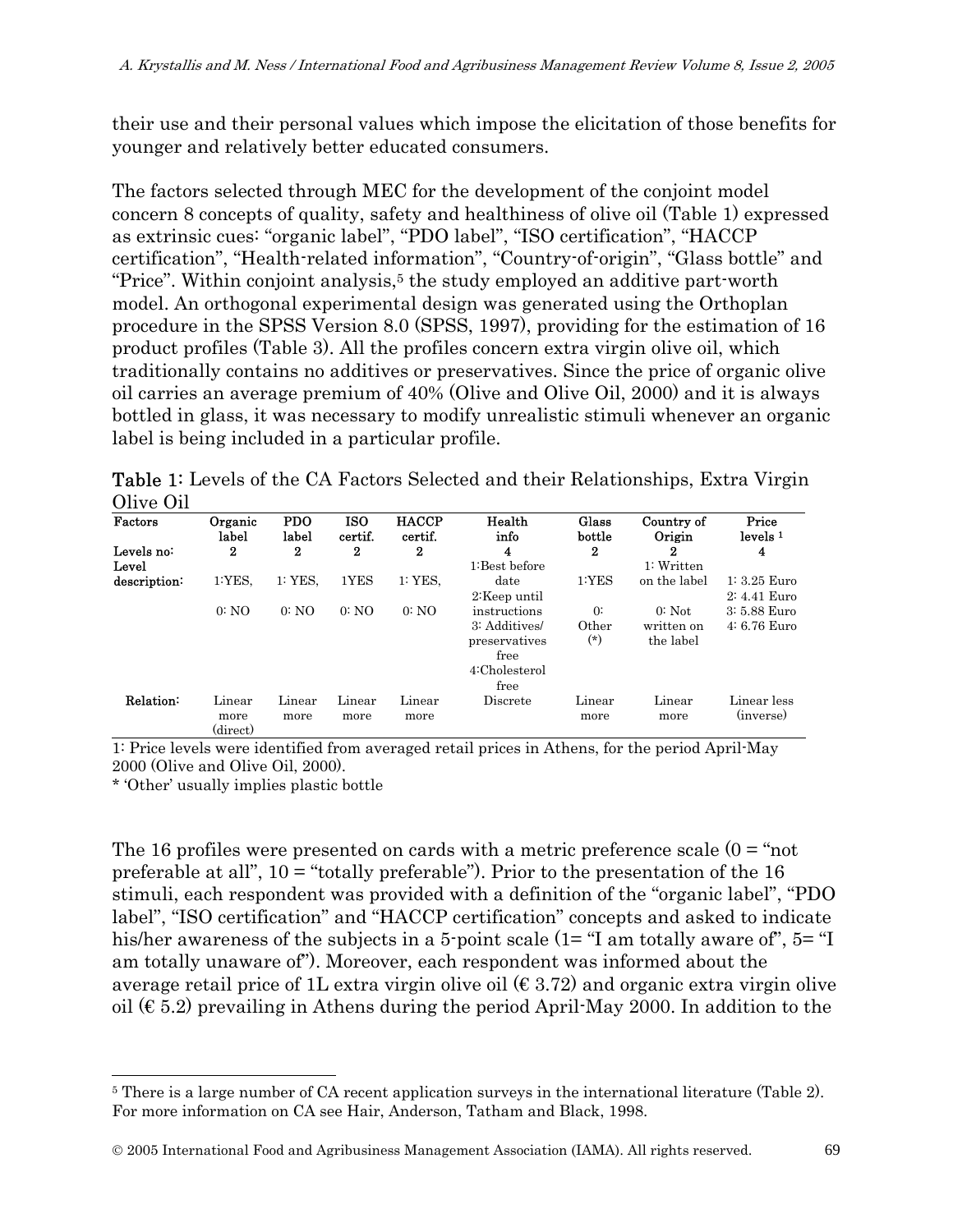their use and their personal values which impose the elicitation of those benefits for younger and relatively better educated consumers.

The factors selected through MEC for the development of the conjoint model concern 8 concepts of quality, safety and healthiness of olive oil (Table 1) expressed as extrinsic cues: "organic label", "PDO label", "ISO certification", "HACCP certification", "Health-related information", "Country-of-origin", "Glass bottle" and "Price". Within conjoint analysis,<sup>5</sup> the study employed an additive part-worth model. An orthogonal experimental design was generated using the Orthoplan procedure in the SPSS Version 8.0 (SPSS, 1997), providing for the estimation of 16 product profiles (Table 3). All the profiles concern extra virgin olive oil, which traditionally contains no additives or preservatives. Since the price of organic olive oil carries an average premium of 40% (Olive and Olive Oil, 2000) and it is always bottled in glass, it was necessary to modify unrealistic stimuli whenever an organic label is being included in a particular profile.

Table 1: Levels of the CA Factors Selected and their Relationships, Extra Virgin Olive Oil

| Factors             | Organic<br>label                | <b>PDO</b><br>label | <b>ISO</b><br>certif. | <b>HACCP</b><br>certif. | Health<br>info                                                                  | Glass<br>bottle              | Country of<br>Origin                | Price<br>levels <sup>1</sup>    |
|---------------------|---------------------------------|---------------------|-----------------------|-------------------------|---------------------------------------------------------------------------------|------------------------------|-------------------------------------|---------------------------------|
| Levels no:<br>Level | 2                               | 2                   | $\bf{2}$              | 2                       | 4<br>1:Best before                                                              | $\bf{2}$                     | 2<br>1: Written                     | 4                               |
| description:        | 1:YES.                          | 1:YES               | 1YES                  | 1:YES.                  | date<br>2:Keep until                                                            | 1:YES                        | on the label                        | $1: 3.25$ Euro<br>$2:4.41$ Euro |
|                     | 0:NO                            | 0:NO                | 0:NO                  | 0:NO                    | instructions<br>3: Additives/<br>preservatives<br>free<br>4:Cholesterol<br>free | $\Omega$ :<br>Other<br>$(*)$ | $0:$ Not<br>written on<br>the label | 3: 5.88 Euro<br>4: 6.76 Euro    |
| Relation:           | Linear<br>more<br>$\rm(direct)$ | Linear<br>more      | Linear<br>more        | Linear<br>more          | Discrete                                                                        | Linear<br>more               | Linear<br>more                      | Linear less<br>(inverse)        |

1: Price levels were identified from averaged retail prices in Athens, for the period April-May 2000 (Olive and Olive Oil, 2000).

\* 'Other' usually implies plastic bottle

l

The 16 profiles were presented on cards with a metric preference scale  $(0 = \text{``not}$ preferable at all",  $10 =$  "totally preferable"). Prior to the presentation of the 16 stimuli, each respondent was provided with a definition of the "organic label", "PDO label", "ISO certification" and "HACCP certification" concepts and asked to indicate his/her awareness of the subjects in a 5-point scale (1= "I am totally aware of", 5= "I am totally unaware of"). Moreover, each respondent was informed about the average retail price of 1L extra virgin olive oil  $(\epsilon 3.72)$  and organic extra virgin olive oil  $(\epsilon 5.2)$  prevailing in Athens during the period April-May 2000. In addition to the

<sup>5</sup> There is a large number of CA recent application surveys in the international literature (Table 2). For more information on CA see Hair, Anderson, Tatham and Black, 1998.

<sup>©</sup> 2005 International Food and Agribusiness Management Association (IAMA). All rights reserved. 69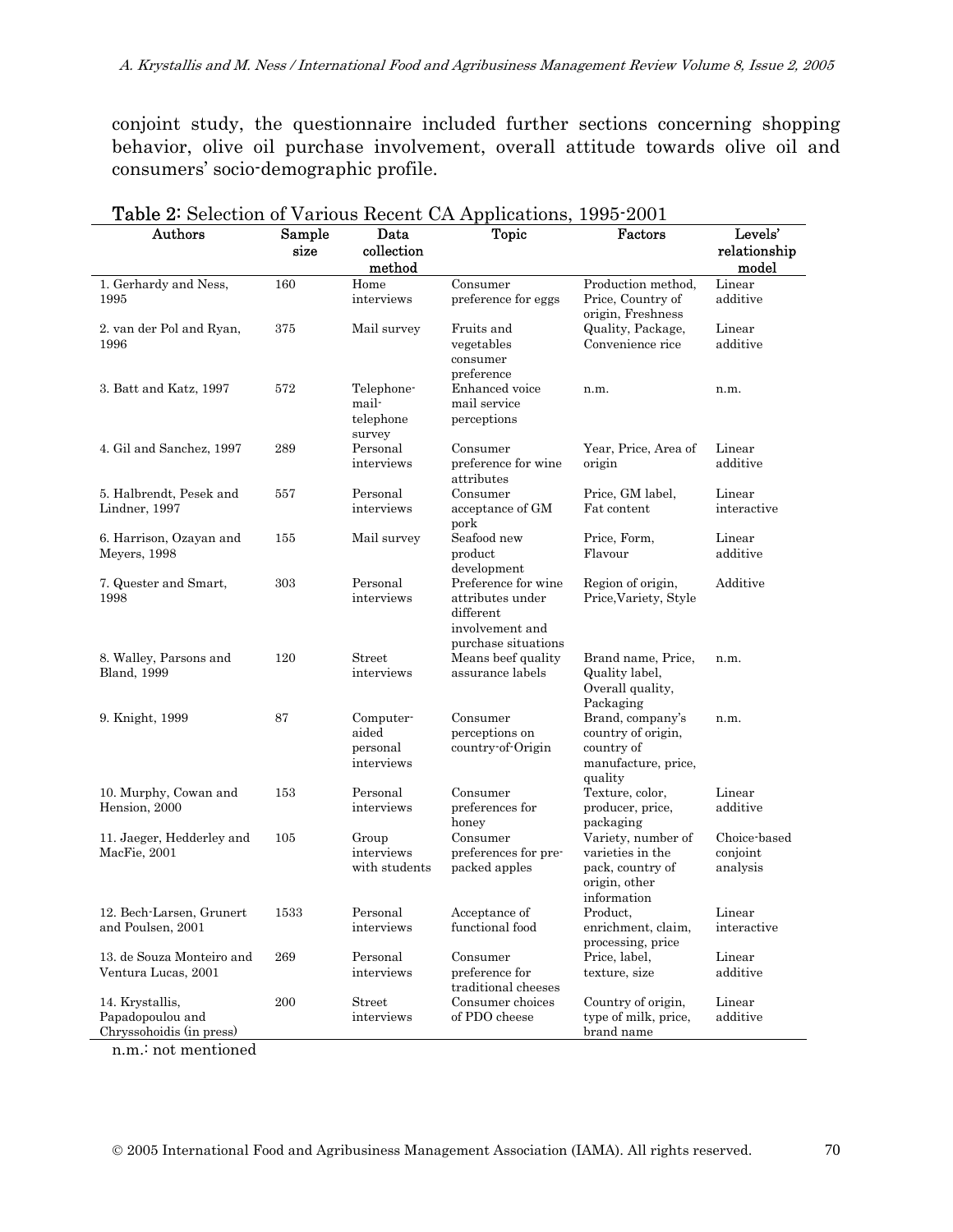conjoint study, the questionnaire included further sections concerning shopping behavior, olive oil purchase involvement, overall attitude towards olive oil and consumers' socio-demographic profile.

| <b>Lable 2.</b> Detection of various recent Orrhphications, 1990 2001<br>Authors | Sample | Data                                         | <b>Topic</b>                                                                                   | Factors                                                                                    | Levels'                              |
|----------------------------------------------------------------------------------|--------|----------------------------------------------|------------------------------------------------------------------------------------------------|--------------------------------------------------------------------------------------------|--------------------------------------|
|                                                                                  | size   | collection<br>method                         |                                                                                                |                                                                                            | relationship<br>model                |
| 1. Gerhardy and Ness,<br>1995                                                    | 160    | Home<br>interviews                           | Consumer<br>preference for eggs                                                                | Production method,<br>Price, Country of<br>origin, Freshness                               | Linear<br>additive                   |
| 2. van der Pol and Ryan,<br>1996                                                 | 375    | Mail survey                                  | Fruits and<br>vegetables<br>consumer<br>preference                                             | Quality, Package,<br>Convenience rice                                                      | Linear<br>additive                   |
| 3. Batt and Katz, 1997                                                           | 572    | Telephone-<br>mail-<br>telephone<br>survey   | Enhanced voice<br>mail service<br>perceptions                                                  | n.m.                                                                                       | n.m.                                 |
| 4. Gil and Sanchez, 1997                                                         | 289    | Personal<br>interviews                       | Consumer<br>preference for wine<br>attributes                                                  | Year, Price, Area of<br>origin                                                             | Linear<br>additive                   |
| 5. Halbrendt, Pesek and<br>Lindner, 1997                                         | 557    | Personal<br>interviews                       | Consumer<br>acceptance of GM<br>pork                                                           | Price, GM label,<br>Fat content                                                            | Linear<br>interactive                |
| 6. Harrison, Ozayan and<br>Meyers, 1998                                          | 155    | Mail survey                                  | Seafood new<br>product<br>development                                                          | Price, Form,<br>Flavour                                                                    | Linear<br>additive                   |
| 7. Quester and Smart,<br>1998                                                    | 303    | Personal<br>interviews                       | Preference for wine<br>attributes under<br>different<br>involvement and<br>purchase situations | Region of origin,<br>Price, Variety, Style                                                 | Additive                             |
| 8. Walley, Parsons and<br><b>Bland</b> , 1999                                    | 120    | Street<br>interviews                         | Means beef quality<br>assurance labels                                                         | Brand name, Price,<br>Quality label,<br>Overall quality,<br>Packaging                      | n.m.                                 |
| 9. Knight, 1999                                                                  | 87     | Computer-<br>aided<br>personal<br>interviews | Consumer<br>perceptions on<br>country-of-Origin                                                | Brand, company's<br>country of origin,<br>country of<br>manufacture, price,<br>quality     | n.m.                                 |
| 10. Murphy, Cowan and<br>Hension, 2000                                           | 153    | Personal<br>interviews                       | Consumer<br>preferences for<br>honey                                                           | Texture, color,<br>producer, price,<br>packaging                                           | Linear<br>additive                   |
| 11. Jaeger, Hedderley and<br>MacFie, 2001                                        | 105    | Group<br>interviews<br>with students         | Consumer<br>preferences for pre-<br>packed apples                                              | Variety, number of<br>varieties in the<br>pack, country of<br>origin, other<br>information | Choice-based<br>conjoint<br>analysis |
| 12. Bech-Larsen, Grunert<br>and Poulsen, 2001                                    | 1533   | Personal<br>interviews                       | Acceptance of<br>functional food                                                               | Product,<br>enrichment, claim,<br>processing, price                                        | Linear<br>interactive                |
| 13. de Souza Monteiro and<br>Ventura Lucas, 2001                                 | 269    | Personal<br>interviews                       | Consumer<br>preference for<br>traditional cheeses                                              | Price, label,<br>texture, size                                                             | Linear<br>additive                   |
| 14. Krystallis,<br>Papadopoulou and<br>Chryssohoidis (in press)                  | 200    | Street<br>interviews                         | Consumer choices<br>of PDO cheese                                                              | Country of origin,<br>type of milk, price,<br>brand name                                   | Linear<br>additive                   |

| <b>Table 2:</b> Selection of Various Recent CA Applications, 1995-2001 |  |
|------------------------------------------------------------------------|--|
|------------------------------------------------------------------------|--|

n.m.: not mentioned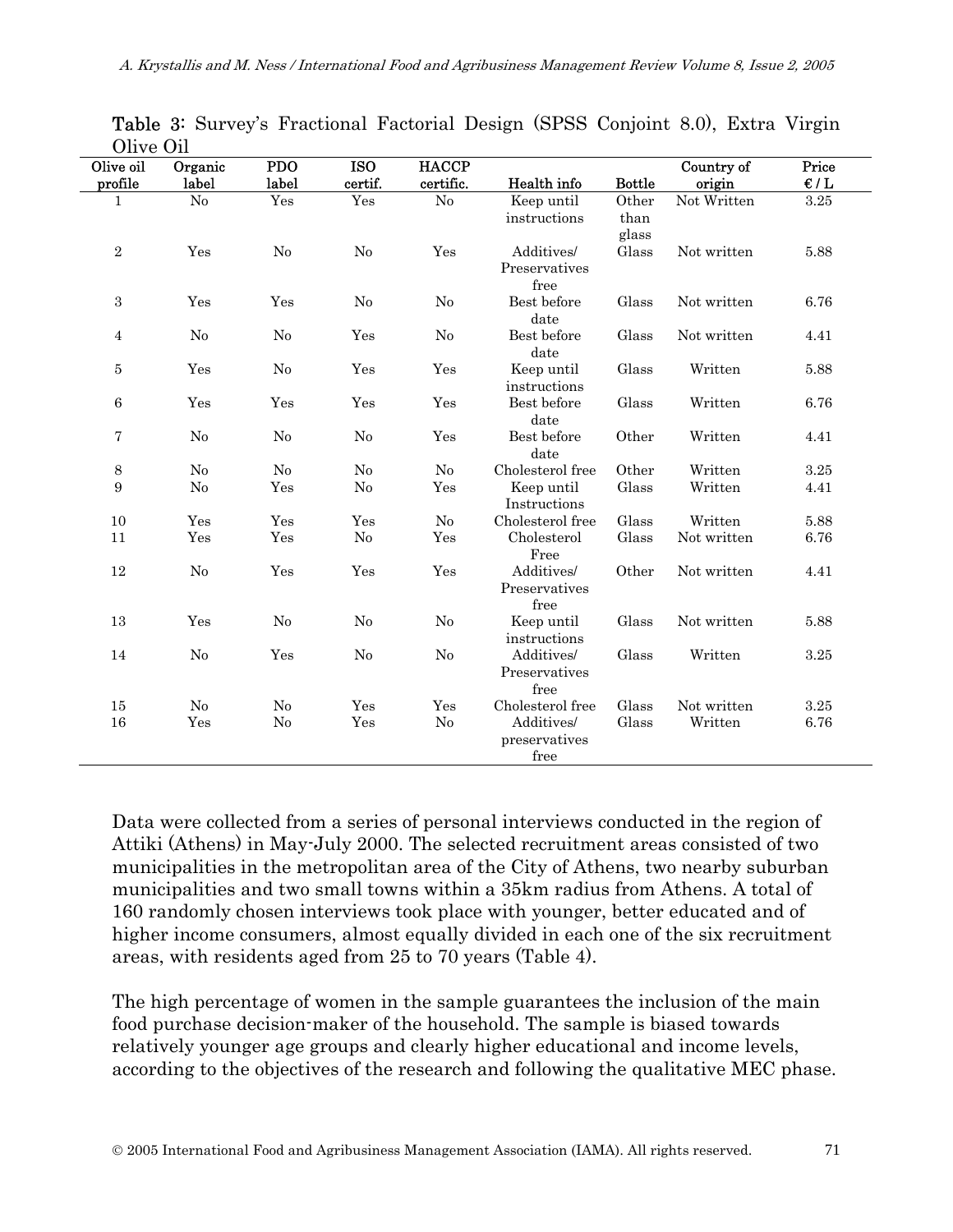| <b>O</b> live Oil<br>Olive oil<br>profile | Organic<br>label | <b>PDO</b><br>label | <b>ISO</b><br>certif. | <b>HACCP</b><br>certific. | Health info                         | <b>Bottle</b>          | Country of<br>origin | Price<br>$\epsilon/L$ |  |
|-------------------------------------------|------------------|---------------------|-----------------------|---------------------------|-------------------------------------|------------------------|----------------------|-----------------------|--|
|                                           |                  |                     |                       |                           |                                     |                        |                      |                       |  |
| $\mathbf{1}$                              | $\rm No$         | Yes                 | Yes                   | $\rm No$                  | Keep until<br>instructions          | Other<br>than<br>glass | Not Written          | 3.25                  |  |
| $\,2$                                     | Yes              | No                  | No                    | Yes                       | Additives/<br>Preservatives<br>free | Glass                  | Not written          | 5.88                  |  |
| 3                                         | Yes              | Yes                 | No                    | No                        | Best before<br>date                 | Glass                  | Not written          | 6.76                  |  |
| $\overline{4}$                            | No               | No                  | Yes                   | No                        | Best before<br>date                 | Glass                  | Not written          | 4.41                  |  |
| 5                                         | Yes              | No                  | Yes                   | Yes                       | Keep until<br>instructions          | Glass                  | Written              | 5.88                  |  |
| $\,6$                                     | Yes              | Yes                 | Yes                   | Yes                       | Best before<br>date                 | Glass                  | Written              | 6.76                  |  |
| 7                                         | No               | N <sub>o</sub>      | N <sub>0</sub>        | Yes                       | Best before<br>date                 | Other                  | Written              | 4.41                  |  |
| $\,8\,$                                   | No               | No                  | No                    | No                        | Cholesterol free                    | Other                  | Written              | 3.25                  |  |
| 9                                         | No               | Yes                 | No                    | Yes                       | Keep until<br>Instructions          | Glass                  | Written              | 4.41                  |  |
| 10                                        | Yes              | Yes                 | Yes                   | No                        | Cholesterol free                    | Glass                  | Written              | 5.88                  |  |
| 11                                        | Yes              | Yes                 | No                    | Yes                       | Cholesterol<br>Free                 | Glass                  | Not written          | 6.76                  |  |
| 12                                        | N <sub>o</sub>   | Yes                 | Yes                   | Yes                       | Additives/<br>Preservatives<br>free | Other                  | Not written          | 4.41                  |  |
| 13                                        | Yes              | N <sub>o</sub>      | N <sub>o</sub>        | No                        | Keep until<br>instructions          | Glass                  | Not written          | 5.88                  |  |
| 14                                        | No               | Yes                 | No                    | No                        | Additives/<br>Preservatives<br>free | Glass                  | Written              | 3.25                  |  |
| 15                                        | No               | No                  | Yes                   | Yes                       | Cholesterol free                    | Glass                  | Not written          | 3.25                  |  |
| 16                                        | Yes              | No                  | Yes                   | No                        | Additives/<br>preservatives<br>free | Glass                  | Written              | 6.76                  |  |

Table 3: Survey's Fractional Factorial Design (SPSS Conjoint 8.0), Extra Virgin Olive Oil

Data were collected from a series of personal interviews conducted in the region of Attiki (Athens) in May-July 2000. The selected recruitment areas consisted of two municipalities in the metropolitan area of the City of Athens, two nearby suburban municipalities and two small towns within a 35km radius from Athens. A total of 160 randomly chosen interviews took place with younger, better educated and of higher income consumers, almost equally divided in each one of the six recruitment areas, with residents aged from 25 to 70 years (Table 4).

The high percentage of women in the sample guarantees the inclusion of the main food purchase decision-maker of the household. The sample is biased towards relatively younger age groups and clearly higher educational and income levels, according to the objectives of the research and following the qualitative MEC phase.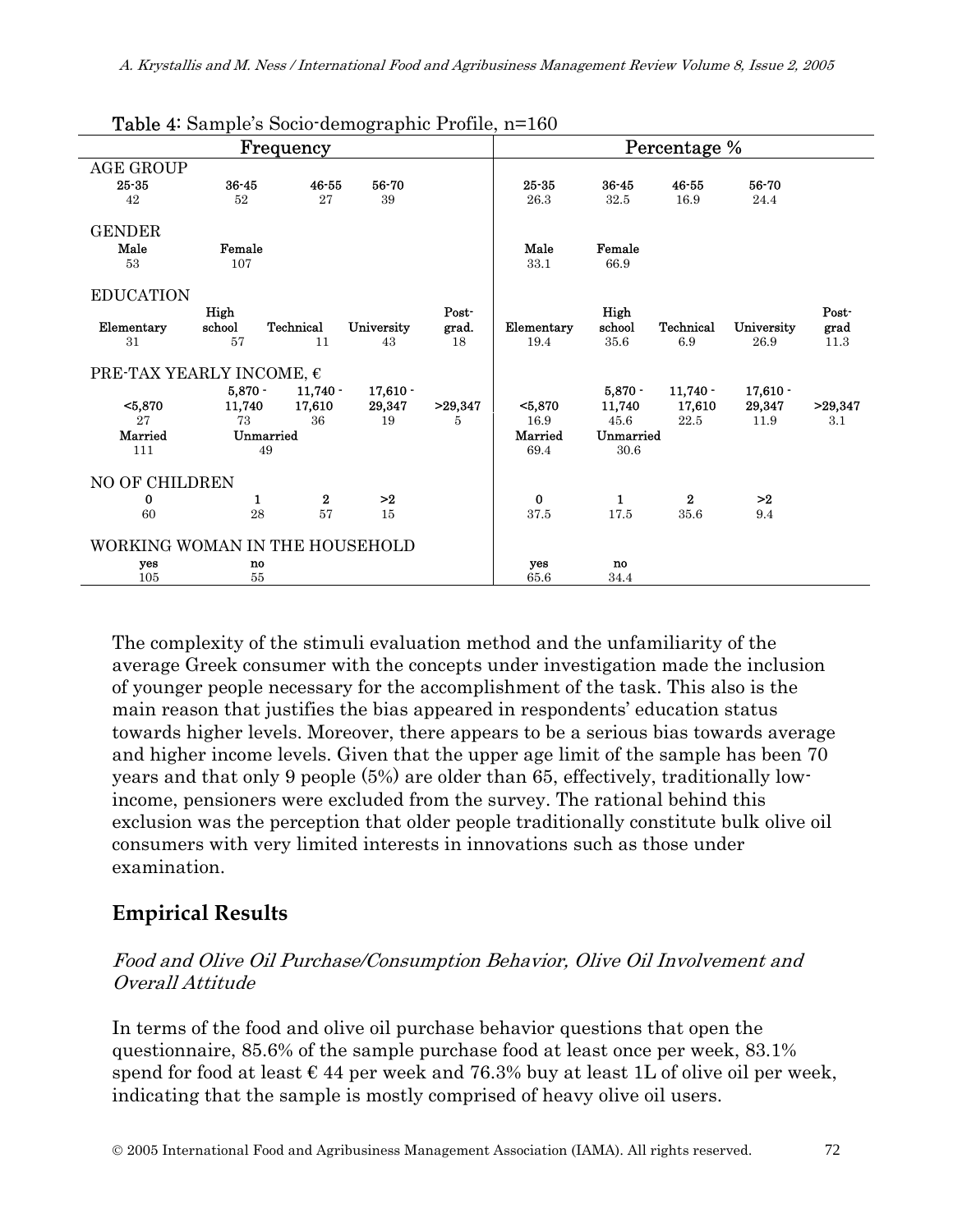|                                   | $\alpha$ $\mu$ $\mu$ $\alpha$ $\beta$ $\alpha$ $\beta$ $\alpha$ $\beta$ $\mu$ $\alpha$ $\beta$ $\mu$ $\alpha$ $\beta$ $\mu$ | Frequency        |            |         |            |              | Percentage %     |            |         |
|-----------------------------------|-----------------------------------------------------------------------------------------------------------------------------|------------------|------------|---------|------------|--------------|------------------|------------|---------|
| <b>AGE GROUP</b>                  |                                                                                                                             |                  |            |         |            |              |                  |            |         |
| $25 - 35$                         | $36 - 45$                                                                                                                   | $46 - 55$        | 56-70      |         | $25 - 35$  | $36 - 45$    | 46-55            | 56-70      |         |
| 42                                | 52                                                                                                                          | 27               | 39         |         | 26.3       | 32.5         | 16.9             | 24.4       |         |
| <b>GENDER</b>                     |                                                                                                                             |                  |            |         |            |              |                  |            |         |
| Male                              | Female                                                                                                                      |                  |            |         | Male       | Female       |                  |            |         |
| 53                                | 107                                                                                                                         |                  |            |         | 33.1       | 66.9         |                  |            |         |
|                                   |                                                                                                                             |                  |            |         |            |              |                  |            |         |
| <b>EDUCATION</b>                  |                                                                                                                             |                  |            |         |            |              |                  |            |         |
|                                   | High                                                                                                                        |                  |            | Post-   |            | High         |                  |            | Post-   |
| Elementary                        | school                                                                                                                      | <b>Technical</b> | University | grad.   | Elementary | school       | Technical        | University | grad    |
| 31                                | 57                                                                                                                          | 11               | 43         | 18      | 19.4       | 35.6         | 6.9              | 26.9       | 11.3    |
| PRE-TAX YEARLY INCOME, $\epsilon$ |                                                                                                                             |                  |            |         |            |              |                  |            |         |
|                                   | $5,870 -$                                                                                                                   | $11.740 -$       | $17.610 -$ |         |            | $5,870 -$    | $11,740 -$       | $17,610 -$ |         |
| $5,870$                           | 11,740                                                                                                                      | 17,610           | 29,347     | >29,347 | $5,870$    | 11,740       | 17,610           | 29,347     | >29,347 |
| 27                                | 73                                                                                                                          | 36               | 19         | 5       | 16.9       | 45.6         | 22.5             | 11.9       | 3.1     |
| Married                           | Unmarried                                                                                                                   |                  |            |         | Married    | Unmarried    |                  |            |         |
| 111                               | 49                                                                                                                          |                  |            |         | 69.4       | 30.6         |                  |            |         |
|                                   |                                                                                                                             |                  |            |         |            |              |                  |            |         |
| NO OF CHILDREN                    |                                                                                                                             |                  |            |         |            |              |                  |            |         |
| 0                                 | 1                                                                                                                           | $\bf{2}$         | >2         |         | $\bf{0}$   | $\mathbf{1}$ | $\boldsymbol{2}$ | >2         |         |
| 60                                | 28                                                                                                                          | 57               | 15         |         | 37.5       | 17.5         | 35.6             | 9.4        |         |
|                                   | WORKING WOMAN IN THE HOUSEHOLD                                                                                              |                  |            |         |            |              |                  |            |         |
| yes                               | no                                                                                                                          |                  |            |         | yes        | no.          |                  |            |         |
| 105                               | 55                                                                                                                          |                  |            |         | 65.6       | 34.4         |                  |            |         |

Table 4: Sample's Socio-demographic Profile, n=160

The complexity of the stimuli evaluation method and the unfamiliarity of the average Greek consumer with the concepts under investigation made the inclusion of younger people necessary for the accomplishment of the task. This also is the main reason that justifies the bias appeared in respondents' education status towards higher levels. Moreover, there appears to be a serious bias towards average and higher income levels. Given that the upper age limit of the sample has been 70 years and that only 9 people (5%) are older than 65, effectively, traditionally lowincome, pensioners were excluded from the survey. The rational behind this exclusion was the perception that older people traditionally constitute bulk olive oil consumers with very limited interests in innovations such as those under examination.

## **Empirical Results**

### Food and Olive Oil Purchase/Consumption Behavior, Olive Oil Involvement and Overall Attitude

In terms of the food and olive oil purchase behavior questions that open the questionnaire, 85.6% of the sample purchase food at least once per week, 83.1% spend for food at least  $\epsilon$  44 per week and 76.3% buy at least 1L of olive oil per week, indicating that the sample is mostly comprised of heavy olive oil users.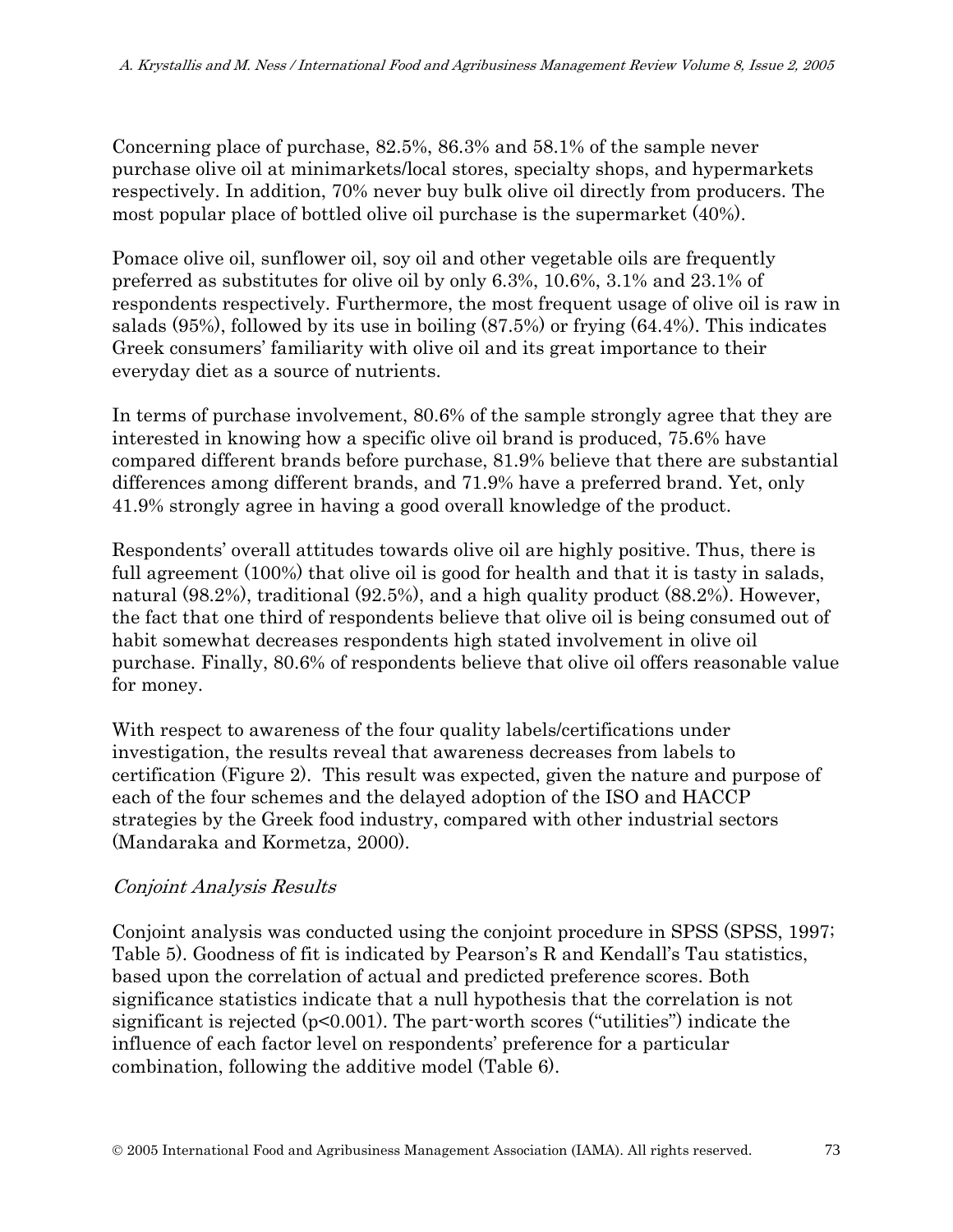Concerning place of purchase, 82.5%, 86.3% and 58.1% of the sample never purchase olive oil at minimarkets/local stores, specialty shops, and hypermarkets respectively. In addition, 70% never buy bulk olive oil directly from producers. The most popular place of bottled olive oil purchase is the supermarket (40%).

Pomace olive oil, sunflower oil, soy oil and other vegetable oils are frequently preferred as substitutes for olive oil by only 6.3%, 10.6%, 3.1% and 23.1% of respondents respectively. Furthermore, the most frequent usage of olive oil is raw in salads (95%), followed by its use in boiling (87.5%) or frying (64.4%). This indicates Greek consumers' familiarity with olive oil and its great importance to their everyday diet as a source of nutrients.

In terms of purchase involvement, 80.6% of the sample strongly agree that they are interested in knowing how a specific olive oil brand is produced, 75.6% have compared different brands before purchase, 81.9% believe that there are substantial differences among different brands, and 71.9% have a preferred brand. Yet, only 41.9% strongly agree in having a good overall knowledge of the product.

Respondents' overall attitudes towards olive oil are highly positive. Thus, there is full agreement (100%) that olive oil is good for health and that it is tasty in salads, natural (98.2%), traditional (92.5%), and a high quality product (88.2%). However, the fact that one third of respondents believe that olive oil is being consumed out of habit somewhat decreases respondents high stated involvement in olive oil purchase. Finally, 80.6% of respondents believe that olive oil offers reasonable value for money.

With respect to awareness of the four quality labels/certifications under investigation, the results reveal that awareness decreases from labels to certification (Figure 2). This result was expected, given the nature and purpose of each of the four schemes and the delayed adoption of the ISO and HACCP strategies by the Greek food industry, compared with other industrial sectors (Mandaraka and Kormetza, 2000).

## Conjoint Analysis Results

Conjoint analysis was conducted using the conjoint procedure in SPSS (SPSS, 1997; Table 5). Goodness of fit is indicated by Pearson's R and Kendall's Tau statistics, based upon the correlation of actual and predicted preference scores. Both significance statistics indicate that a null hypothesis that the correlation is not significant is rejected (p<0.001). The part-worth scores ("utilities") indicate the influence of each factor level on respondents' preference for a particular combination, following the additive model (Table 6).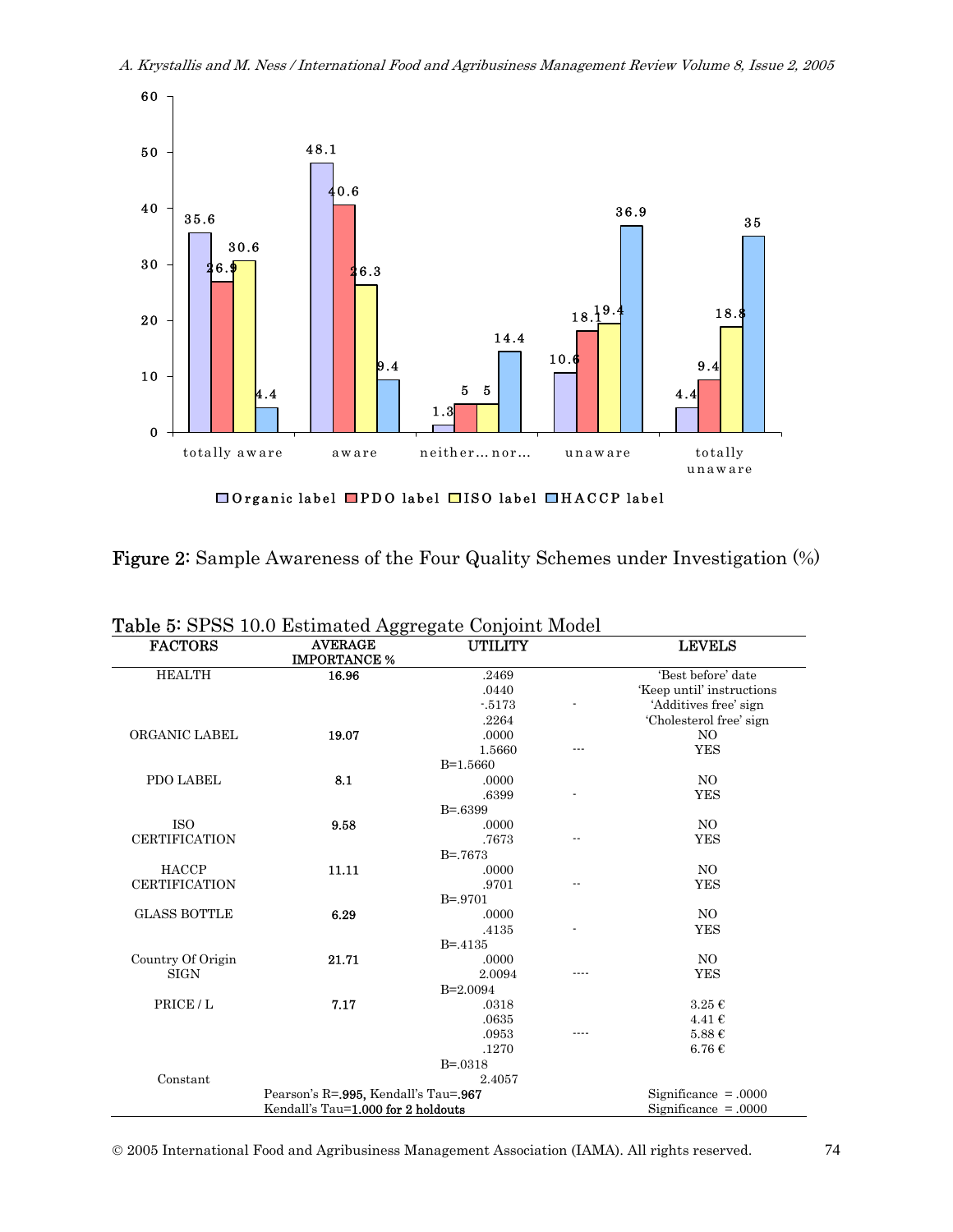A. Krystallis and M. Ness / International Food and Agribusiness Management Review Volume 8, Issue 2, 2005



 $\Box$  Organic label  $\Box$  PDO label  $\Box$  ISO label  $\Box$  HACCP label

| Figure 2: Sample Awareness of the Four Quality Schemes under Investigation (%) |  |
|--------------------------------------------------------------------------------|--|
|--------------------------------------------------------------------------------|--|

| <b>FACTORS</b>       | *******************<br><b>AVERAGE</b><br><b>IMPORTANCE %</b> | UTILITY      | <b>LEVELS</b>             |
|----------------------|--------------------------------------------------------------|--------------|---------------------------|
| <b>HEALTH</b>        | 16.96                                                        | .2469        | 'Best before' date        |
|                      |                                                              | .0440        | 'Keep until' instructions |
|                      |                                                              | $-5173$      | 'Additives free' sign     |
|                      |                                                              | .2264        | 'Cholesterol free' sign   |
| ORGANIC LABEL        | 19.07                                                        | .0000        | NO.                       |
|                      |                                                              | 1.5660       | <b>YES</b>                |
|                      |                                                              | $B=1.5660$   |                           |
| PDO LABEL            | 8.1                                                          | .0000        | NO                        |
|                      |                                                              | .6399        | <b>YES</b>                |
|                      |                                                              | $B = 6399$   |                           |
| <b>ISO</b>           | 9.58                                                         | .0000        | NO                        |
| <b>CERTIFICATION</b> |                                                              | .7673        | <b>YES</b>                |
|                      |                                                              | $B = 7673$   |                           |
| <b>HACCP</b>         | 11.11                                                        | .0000        | NO                        |
| <b>CERTIFICATION</b> |                                                              | .9701        | <b>YES</b>                |
|                      |                                                              | $B = 9701$   |                           |
| <b>GLASS BOTTLE</b>  | 6.29                                                         | .0000        | NO.                       |
|                      |                                                              | .4135        | <b>YES</b>                |
|                      |                                                              | $B = -4135$  |                           |
| Country Of Origin    | 21.71                                                        | .0000        | NO                        |
| <b>SIGN</b>          |                                                              | 2.0094       | <b>YES</b>                |
|                      |                                                              | $B=2.0094$   |                           |
| PRICE/L              | 7.17                                                         | .0318        | $3.25 \in$                |
|                      |                                                              | .0635        | 4.41€                     |
|                      |                                                              | .0953        | 5.88 €                    |
|                      |                                                              | .1270        | $6.76\in$                 |
|                      |                                                              | $B = 0.0318$ |                           |
| Constant             |                                                              | 2.4057       |                           |
|                      | Pearson's R=.995, Kendall's Tau=.967                         |              | Significance $= .0000$    |
|                      | Kendall's Tau=1.000 for 2 holdouts                           |              | Significance $= .0000$    |

Table 5: SPSS 10.0 Estimated Aggregate Conjoint Model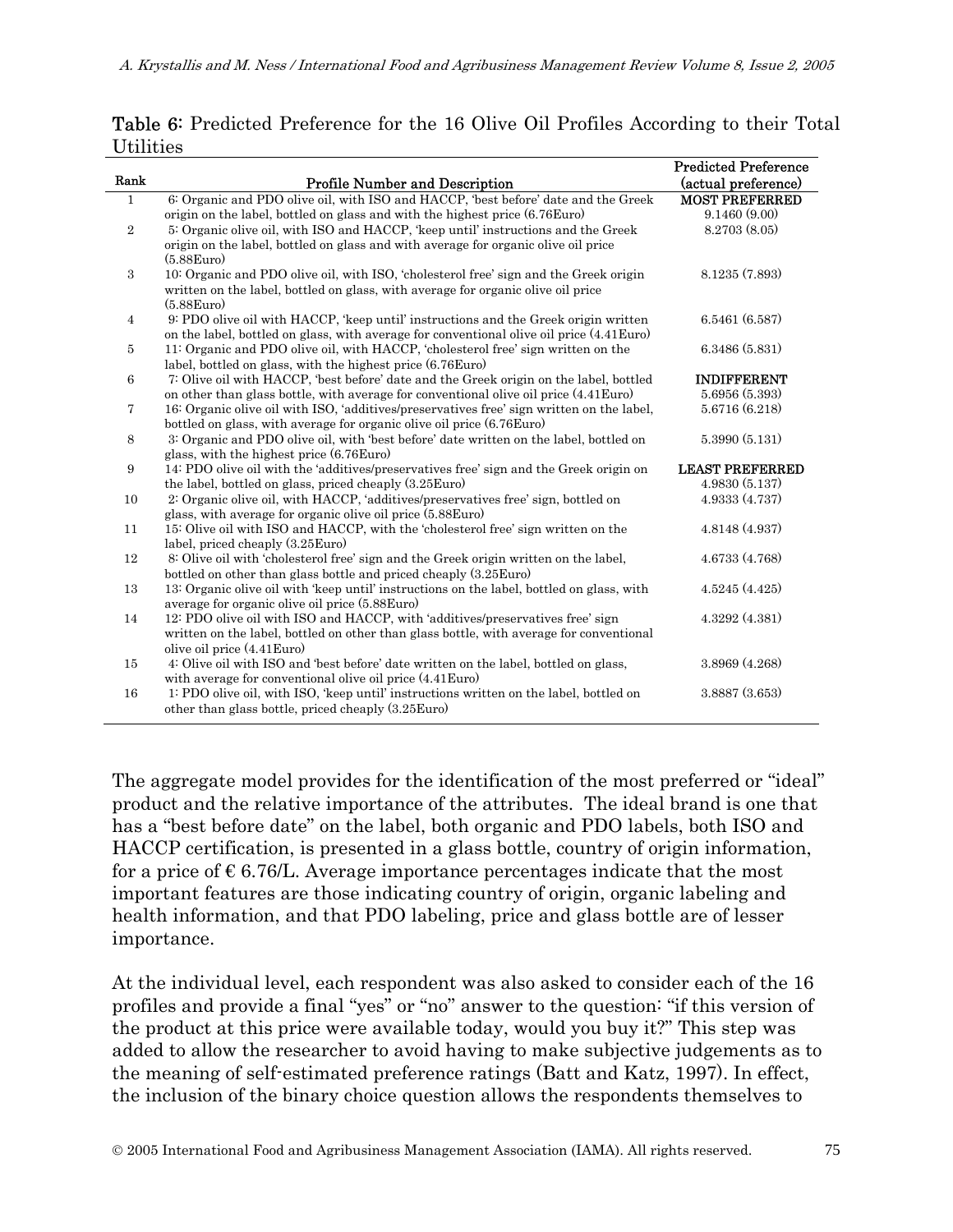|                |                                                                                                                                                    | <b>Predicted Preference</b> |
|----------------|----------------------------------------------------------------------------------------------------------------------------------------------------|-----------------------------|
| Rank           | <b>Profile Number and Description</b>                                                                                                              | (actual preference)         |
| $\mathbf{1}$   | 6: Organic and PDO olive oil, with ISO and HACCP, best before' date and the Greek                                                                  | <b>MOST PREFERRED</b>       |
|                | origin on the label, bottled on glass and with the highest price (6.76 Euro)                                                                       | 9.1460(9.00)                |
| $\overline{2}$ | 5: Organic olive oil, with ISO and HACCP, 'keep until' instructions and the Greek                                                                  | 8.2703 (8.05)               |
|                | origin on the label, bottled on glass and with average for organic olive oil price                                                                 |                             |
|                | $(5.88)$ Euro                                                                                                                                      |                             |
| 3              | 10. Organic and PDO olive oil, with ISO, 'cholesterol free' sign and the Greek origin                                                              | 8.1235 (7.893)              |
|                | written on the label, bottled on glass, with average for organic olive oil price                                                                   |                             |
|                | $(5.88)$ Euro                                                                                                                                      |                             |
| 4              | 9: PDO olive oil with HACCP, 'keep until' instructions and the Greek origin written                                                                | 6.5461(6.587)               |
|                | on the label, bottled on glass, with average for conventional olive oil price (4.41 Euro)                                                          |                             |
| 5              | 11: Organic and PDO olive oil, with HACCP, 'cholesterol free' sign written on the                                                                  | 6.3486 (5.831)              |
|                | label, bottled on glass, with the highest price (6.76Euro)                                                                                         |                             |
| 6              | 7: Olive oil with HACCP, 'best before' date and the Greek origin on the label, bottled                                                             | <b>INDIFFERENT</b>          |
|                | on other than glass bottle, with average for conventional olive oil price (4.41 Euro)                                                              | 5.6956 (5.393)              |
| 7              | 16: Organic olive oil with ISO, 'additives/preservatives free' sign written on the label,                                                          | 5.6716 (6.218)              |
|                | bottled on glass, with average for organic olive oil price (6.76Euro)                                                                              |                             |
| 8              | 3: Organic and PDO olive oil, with 'best before' date written on the label, bottled on                                                             | 5.3990 (5.131)              |
|                | glass, with the highest price (6.76Euro)                                                                                                           |                             |
| 9              | 14: PDO olive oil with the 'additives/preservatives free' sign and the Greek origin on                                                             | <b>LEAST PREFERRED</b>      |
|                | the label, bottled on glass, priced cheaply (3.25Euro)                                                                                             | 4.9830(5.137)               |
| 10             | 2. Organic olive oil, with HACCP, 'additives/preservatives free' sign, bottled on                                                                  | 4.9333 (4.737)              |
|                | glass, with average for organic olive oil price (5.88Euro)                                                                                         |                             |
| 11             | 15: Olive oil with ISO and HACCP, with the 'cholesterol free' sign written on the                                                                  | 4.8148 (4.937)              |
|                | label, priced cheaply (3.25 Euro)                                                                                                                  |                             |
| 12             | 8: Olive oil with 'cholesterol free' sign and the Greek origin written on the label,                                                               | 4.6733 (4.768)              |
|                | bottled on other than glass bottle and priced cheaply (3.25Euro)                                                                                   |                             |
| 13             | 13: Organic olive oil with 'keep until' instructions on the label, bottled on glass, with                                                          | 4.5245(4.425)               |
|                | average for organic olive oil price (5.88Euro)                                                                                                     | 4.3292 (4.381)              |
| 14             | 12: PDO olive oil with ISO and HACCP, with 'additives/preservatives free' sign                                                                     |                             |
|                | written on the label, bottled on other than glass bottle, with average for conventional                                                            |                             |
|                | olive oil price (4.41Euro)                                                                                                                         | 3.8969 (4.268)              |
| 15             | 4: Olive oil with ISO and 'best before' date written on the label, bottled on glass,                                                               |                             |
| 16             | with average for conventional olive oil price (4.41Euro)<br>1: PDO olive oil, with ISO, 'keep until' instructions written on the label, bottled on | 3.8887 (3.653)              |
|                | other than glass bottle, priced cheaply (3.25 Euro)                                                                                                |                             |
|                |                                                                                                                                                    |                             |

Table 6: Predicted Preference for the 16 Olive Oil Profiles According to their Total Utilities

The aggregate model provides for the identification of the most preferred or "ideal" product and the relative importance of the attributes. The ideal brand is one that has a "best before date" on the label, both organic and PDO labels, both ISO and HACCP certification, is presented in a glass bottle, country of origin information, for a price of  $\epsilon$  6.76/L. Average importance percentages indicate that the most important features are those indicating country of origin, organic labeling and health information, and that PDO labeling, price and glass bottle are of lesser importance.

At the individual level, each respondent was also asked to consider each of the 16 profiles and provide a final "yes" or "no" answer to the question: "if this version of the product at this price were available today, would you buy it?" This step was added to allow the researcher to avoid having to make subjective judgements as to the meaning of self-estimated preference ratings (Batt and Katz, 1997). In effect, the inclusion of the binary choice question allows the respondents themselves to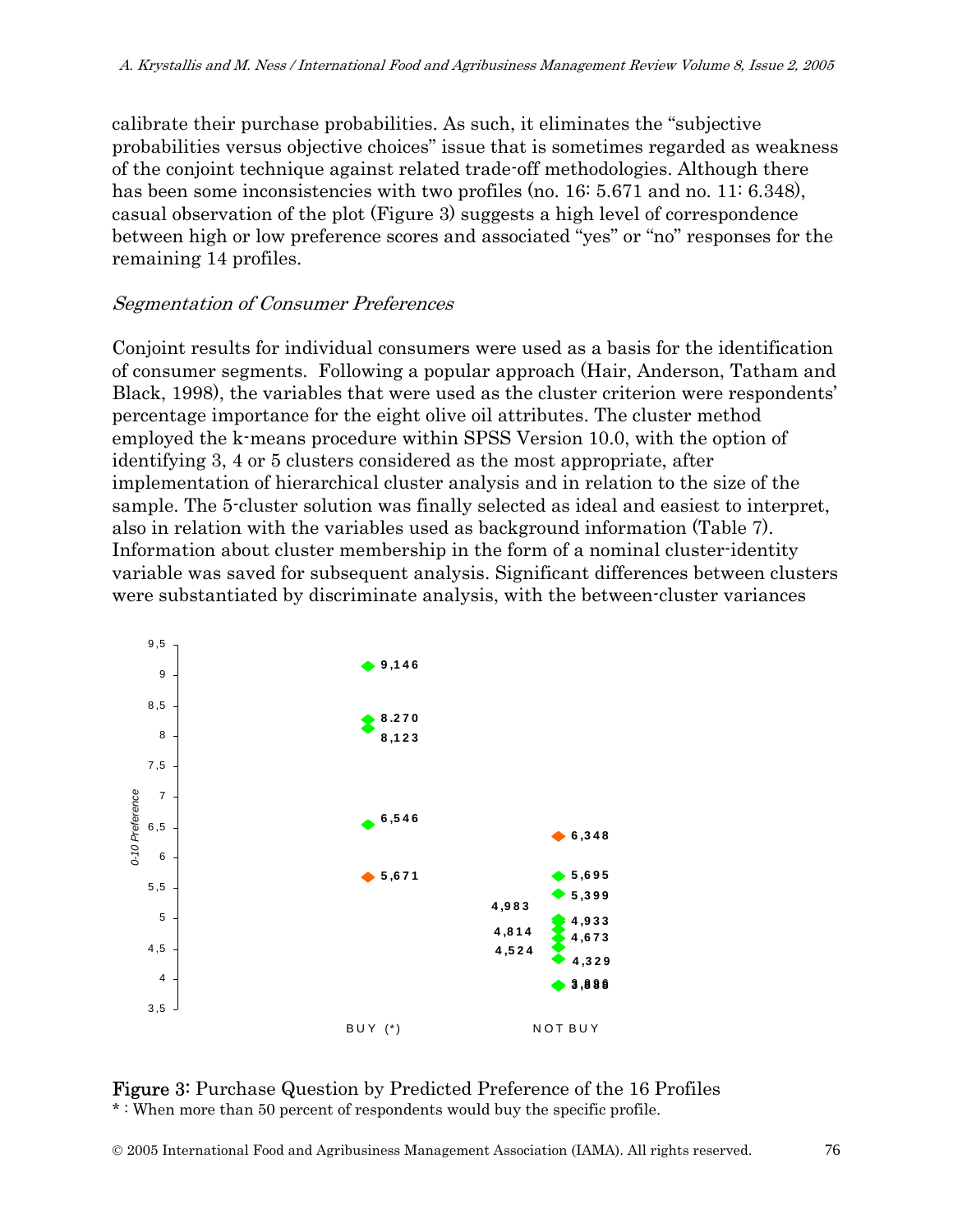calibrate their purchase probabilities. As such, it eliminates the "subjective probabilities versus objective choices" issue that is sometimes regarded as weakness of the conjoint technique against related trade-off methodologies. Although there has been some inconsistencies with two profiles (no. 16: 5.671 and no. 11: 6.348), casual observation of the plot (Figure 3) suggests a high level of correspondence between high or low preference scores and associated "yes" or "no" responses for the remaining 14 profiles.

### Segmentation of Consumer Preferences

Conjoint results for individual consumers were used as a basis for the identification of consumer segments. Following a popular approach (Hair, Anderson, Tatham and Black, 1998), the variables that were used as the cluster criterion were respondents' percentage importance for the eight olive oil attributes. The cluster method employed the k-means procedure within SPSS Version 10.0, with the option of identifying 3, 4 or 5 clusters considered as the most appropriate, after implementation of hierarchical cluster analysis and in relation to the size of the sample. The 5-cluster solution was finally selected as ideal and easiest to interpret, also in relation with the variables used as background information (Table 7). Information about cluster membership in the form of a nominal cluster-identity variable was saved for subsequent analysis. Significant differences between clusters were substantiated by discriminate analysis, with the between-cluster variances



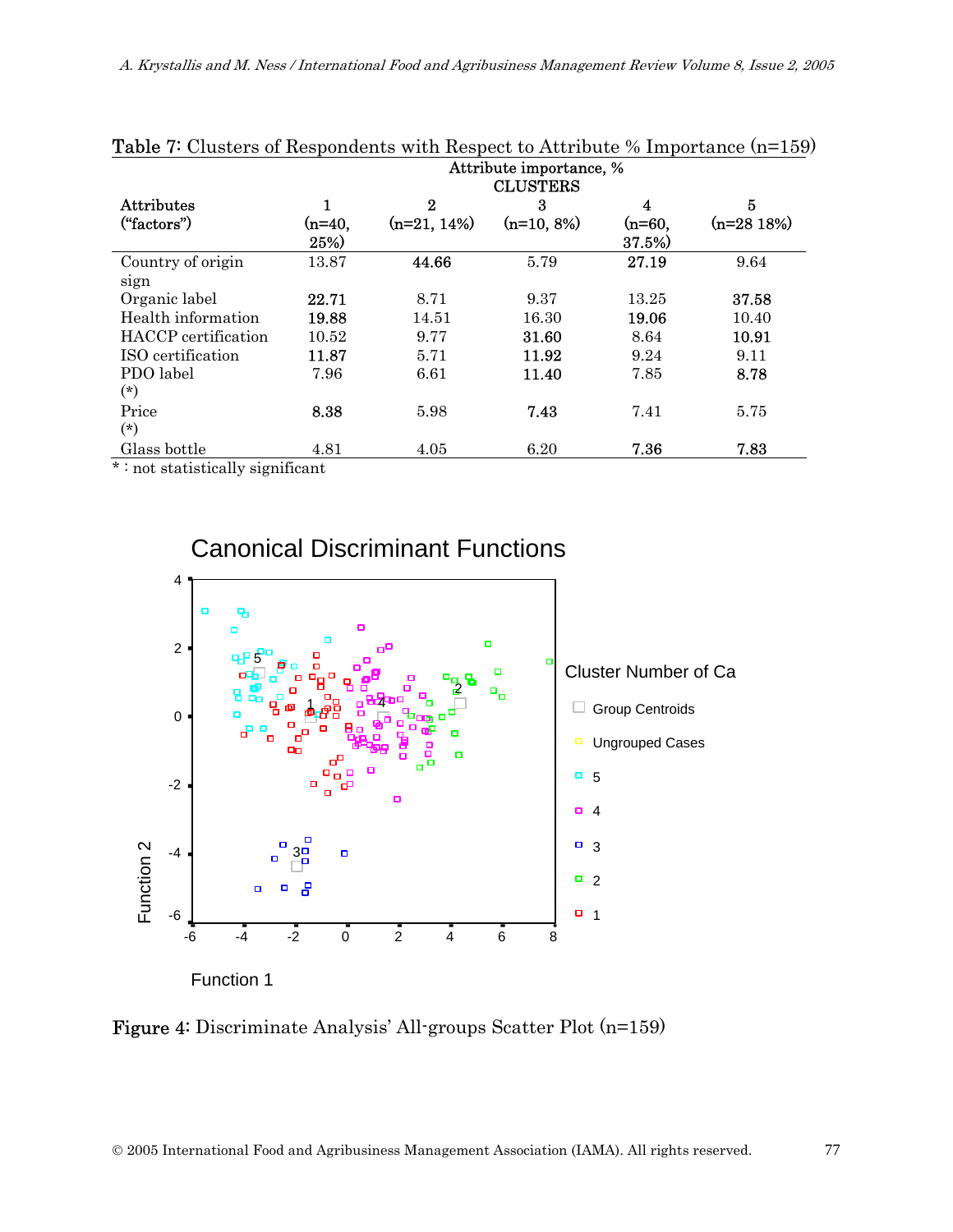|                            |          |                  | Attribute importance, %<br><b>CLUSTERS</b> |          |             |
|----------------------------|----------|------------------|--------------------------------------------|----------|-------------|
|                            |          |                  |                                            |          |             |
| <b>Attributes</b>          |          | $\boldsymbol{2}$ | 3                                          | 4        | 5           |
| ("factors")                | $(n=40,$ | $(n=21, 14%)$    | $(n=10, 8\%)$                              | $(n=60,$ | $(n=2818%)$ |
|                            | 25%)     |                  |                                            | 37.5%)   |             |
| Country of origin          | 13.87    | 44.66            | 5.79                                       | 27.19    | 9.64        |
| sign                       |          |                  |                                            |          |             |
| Organic label              | 22.71    | 8.71             | 9.37                                       | 13.25    | 37.58       |
| Health information         | 19.88    | 14.51            | 16.30                                      | 19.06    | 10.40       |
| <b>HACCP</b> certification | 10.52    | 9.77             | 31.60                                      | 8.64     | 10.91       |
| ISO certification          | 11.87    | 5.71             | 11.92                                      | 9.24     | 9.11        |
| PDO label                  | 7.96     | 6.61             | 11.40                                      | 7.85     | 8.78        |
| $(*)$                      |          |                  |                                            |          |             |
| Price                      | 8.38     | 5.98             | 7.43                                       | 7.41     | 5.75        |
| $(*)$                      |          |                  |                                            |          |             |
| Glass bottle               | 4.81     | 4.05             | 6.20                                       | 7.36     | 7.83        |

\* : not statistically significant



Canonical Discriminant Functions

Function 1

Figure 4: Discriminate Analysis' All-groups Scatter Plot (n=159)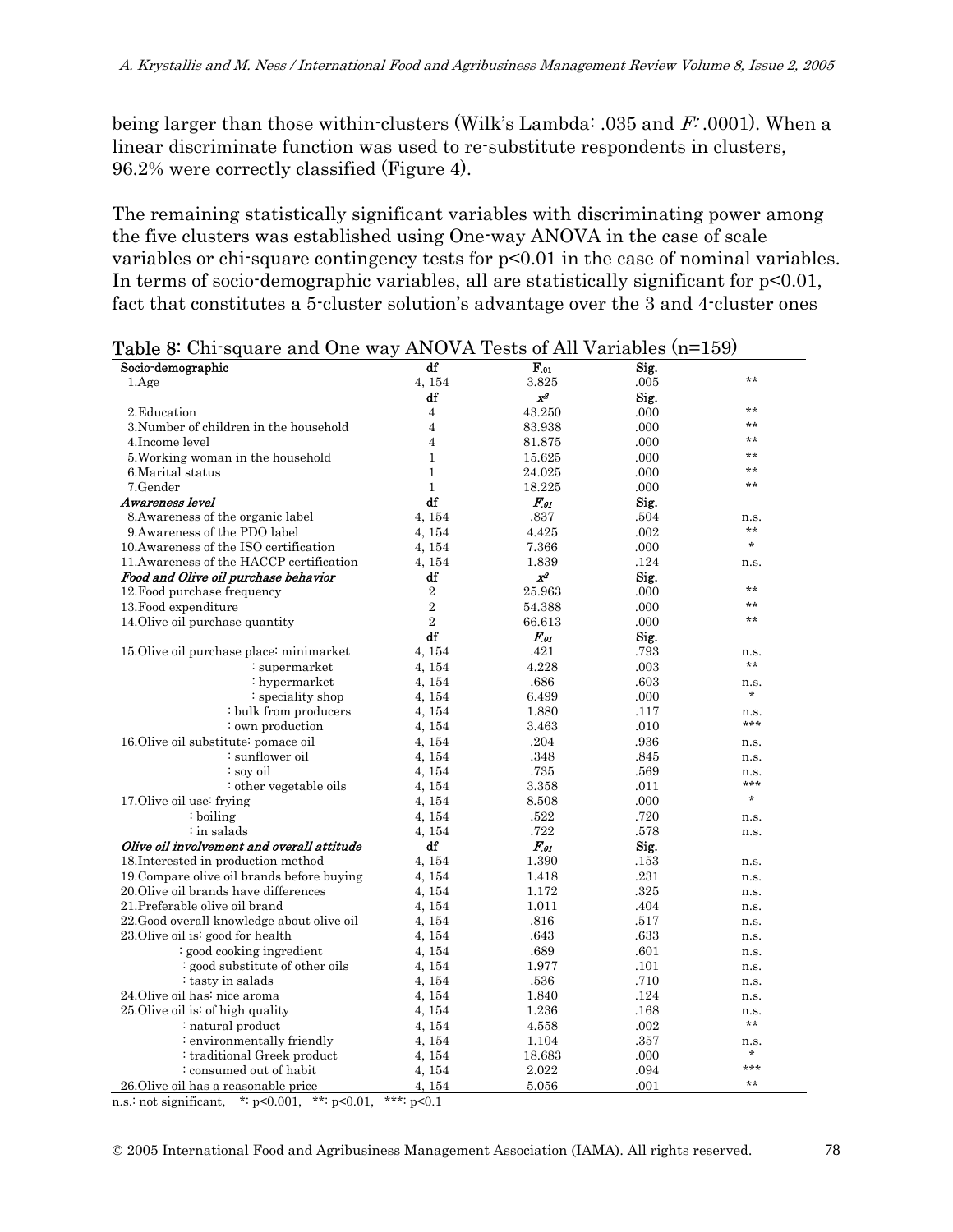being larger than those within-clusters (Wilk's Lambda: .035 and F: .0001). When a linear discriminate function was used to re-substitute respondents in clusters, 96.2% were correctly classified (Figure 4).

The remaining statistically significant variables with discriminating power among the five clusters was established using One-way ANOVA in the case of scale variables or chi-square contingency tests for p<0.01 in the case of nominal variables. In terms of socio-demographic variables, all are statistically significant for  $p<0.01$ , fact that constitutes a 5-cluster solution's advantage over the 3 and 4-cluster ones

| Socio-demographic                          | df               | $F_{.01}$    | Sig. |             |
|--------------------------------------------|------------------|--------------|------|-------------|
| 1.Age                                      | 4, 154           | 3.825        | .005 | $**$        |
|                                            | df               | x            | Sig. |             |
| 2. Education                               | $\overline{4}$   | 43.250       | .000 | $**$        |
| 3.Number of children in the household      | $\overline{4}$   | 83.938       | .000 | $**$        |
| 4. Income level                            | $\overline{4}$   | 81.875       | .000 | $**$        |
| 5. Working woman in the household          | $\mathbf{1}$     | 15.625       | .000 | $***$       |
| 6. Marital status                          | $\mathbf{1}$     | 24.025       | .000 | $***$       |
| 7.Gender                                   | $\mathbf{1}$     | 18.225       | .000 | **          |
| Awareness level                            | df               | $F_{01}$     | Sig. |             |
| 8. Awareness of the organic label          | 4.154            | .837         | .504 | n.s.        |
| 9. Awareness of the PDO label              | 4, 154           | 4.425        | .002 | $***$       |
| 10. Awareness of the ISO certification     | 4, 154           | 7.366        | .000 | $\star$     |
| 11. Awareness of the HACCP certification   | 4, 154           | 1.839        | .124 | n.s.        |
| Food and Olive oil purchase behavior       | df               | $X^2$        | Sig. |             |
| 12. Food purchase frequency                | $\overline{2}$   | 25.963       | .000 | $***$       |
| 13. Food expenditure                       | $\overline{2}$   | 54.388       | .000 | $***$       |
| 14. Olive oil purchase quantity            | $\overline{2}$   | 66.613       | .000 | $***$       |
|                                            | df               | $F_{.01}$    | Sig. |             |
| 15. Olive oil purchase place: minimarket   | 4, 154           | .421         | .793 | n.s.        |
| :supermarket                               | 4, 154           | 4.228        | .003 | **          |
| $:$ hypermarket                            | 4, 154           | .686         | .603 | n.s.        |
| : speciality shop                          | 4, 154           | 6.499        | .000 | *           |
| : bulk from producers                      | 4, 154           | 1.880        | .117 |             |
| : own production                           |                  | 3.463        | .010 | n.s.<br>*** |
| 16. Olive oil substitute pomace oil        | 4, 154<br>4, 154 | .204         | .936 |             |
| : sunflower oil                            |                  | .348         | .845 | n.s.        |
| ∶ soy oil                                  | 4, 154           |              | .569 | n.s.        |
|                                            | 4, 154           | .735         |      | n.s.<br>*** |
| : other vegetable oils                     | 4, 154           | 3.358        | .011 | $\star$     |
| 17.0 live oil use: frying<br>: boiling     | 4, 154           | 8.508        | .000 |             |
| $\cdot$ in salads                          | 4, 154           | .522<br>.722 | .720 | n.s.        |
|                                            | 4, 154<br>df     |              | .578 | n.s.        |
| Olive oil involvement and overall attitude |                  | $F_{.01}$    | Sig. |             |
| 18. Interested in production method        | 4, 154           | 1.390        | .153 | n.s.        |
| 19. Compare olive oil brands before buying | 4, 154           | 1.418        | .231 | n.s.        |
| 20. Olive oil brands have differences      | 4, 154           | 1.172        | .325 | n.s.        |
| 21. Preferable olive oil brand             | 4, 154           | 1.011        | .404 | n.s.        |
| 22.Good overall knowledge about olive oil  | 4, 154           | .816         | .517 | n.s.        |
| 23. Olive oil is: good for health          | 4, 154           | .643         | .633 | n.s.        |
| : good cooking ingredient                  | 4, 154           | .689         | .601 | n.s.        |
| : good substitute of other oils            | 4, 154           | 1.977        | .101 | n.s.        |
| : tasty in salads                          | 4, 154           | .536         | .710 | n.s.        |
| 24. Olive oil has: nice aroma              | 4, 154           | 1.840        | .124 | n.s.        |
| 25. Olive oil is: of high quality          | 4, 154           | 1.236        | .168 | n.s.        |
| : natural product                          | 4, 154           | 4.558        | .002 | $**$        |
| : environmentally friendly                 | 4, 154           | 1.104        | .357 | n.s.        |
| : traditional Greek product                | 4, 154           | 18.683       | .000 | $\ast$      |
| : consumed out of habit                    | 4, 154           | 2.022        | .094 | ***         |
| 26. Olive oil has a reasonable price       | 4, 154           | 5.056        | .001 | $**$        |

n.s.: not significant, \*: p<0.001, \*\*: p<0.01, \*\*\*: p<0.1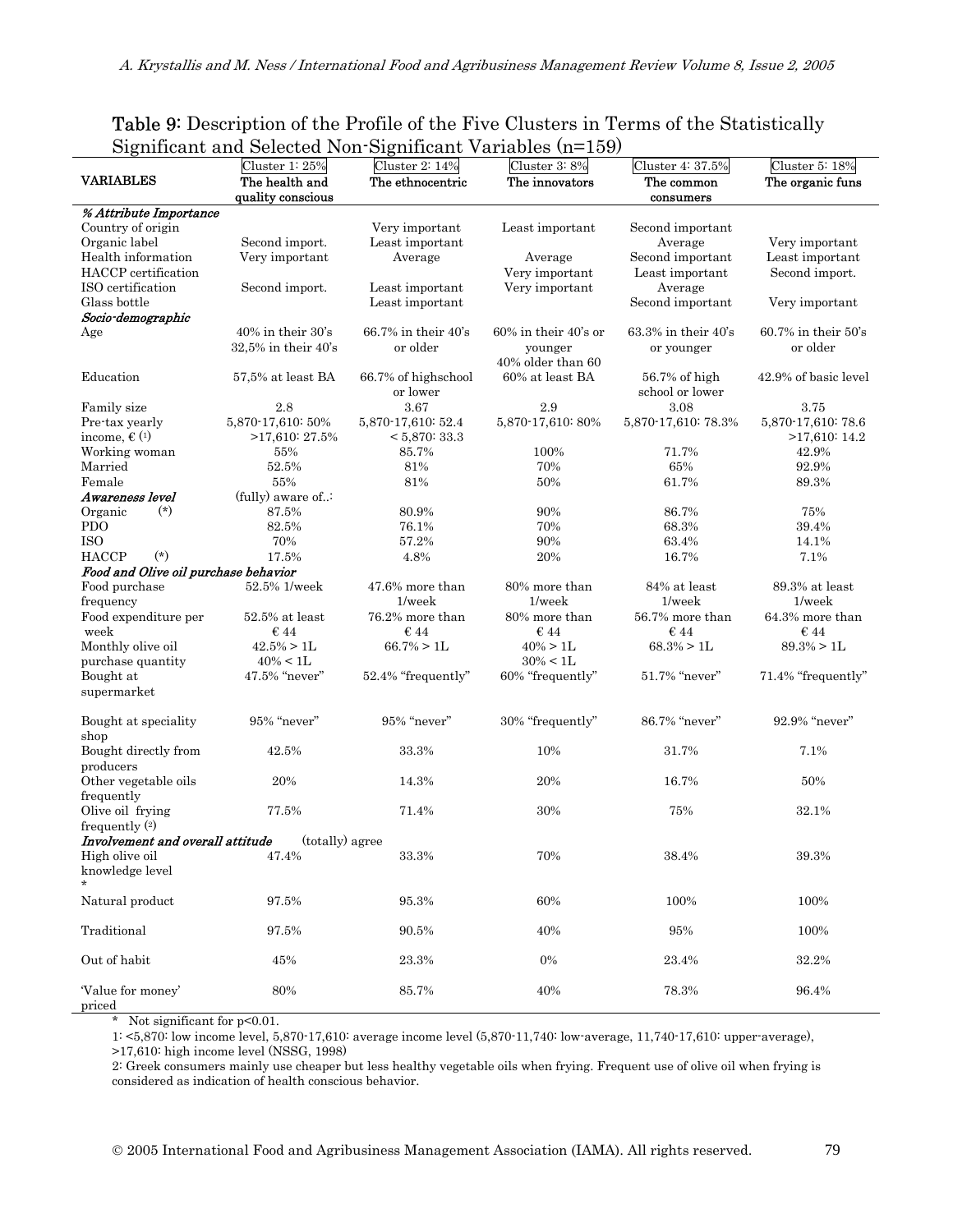#### Table 9: Description of the Profile of the Five Clusters in Terms of the Statistically Significant and Selected Non-Significant Variables (n=159)

|                                      | Cluster $1:25%$                 | Cluster 2: 14%                  | Cluster 3:8%                     | Cluster 4: 37.5%                | Cluster 5: 18%                  |
|--------------------------------------|---------------------------------|---------------------------------|----------------------------------|---------------------------------|---------------------------------|
| <b>VARIABLES</b>                     | The health and                  | The ethnocentric                | The innovators                   | The common                      | The organic funs                |
|                                      | quality conscious               |                                 |                                  | consumers                       |                                 |
| % Attribute Importance               |                                 |                                 |                                  |                                 |                                 |
| Country of origin                    |                                 | Very important                  | Least important                  | Second important                |                                 |
| Organic label                        | Second import.                  | Least important                 |                                  | Average                         | Very important                  |
|                                      |                                 | Average                         |                                  |                                 | Least important                 |
| Health information                   | Very important                  |                                 | Average                          | Second important                |                                 |
| HACCP certification                  |                                 |                                 | Very important                   | Least important                 | Second import.                  |
| ISO certification                    | Second import.                  | Least important                 | Very important                   | Average                         |                                 |
| Glass bottle                         |                                 | Least important                 |                                  | Second important                | Very important                  |
| Socio-demographic                    |                                 |                                 |                                  |                                 |                                 |
| Age                                  | $40\%$ in their $30\text{'s}$   | $66.7\%$ in their $40\text{'s}$ | $60\%$ in their $40\text{'s}$ or | $63.3\%$ in their $40\text{'s}$ | $60.7\%$ in their $50\text{'s}$ |
|                                      | $32.5\%$ in their $40\text{'s}$ | or older                        | younger                          | or younger                      | or older                        |
|                                      |                                 |                                 | 40% older than 60                |                                 |                                 |
|                                      |                                 |                                 | 60% at least BA                  |                                 |                                 |
| Education                            | 57,5% at least BA               | 66.7% of highschool             |                                  | 56.7% of high                   | 42.9% of basic level            |
|                                      |                                 | or lower                        |                                  | school or lower                 |                                 |
| Family size                          | 2.8                             | 3.67                            | 2.9                              | 3.08                            | 3.75                            |
| Pre-tax yearly                       | 5,870-17,610: 50%               | 5,870-17,610: 52.4              | 5,870-17,610:80%                 | 5,870-17,610: 78.3%             | 5,870-17,610: 78.6              |
| income, $\in$ (1)                    | $>17,610:27.5\%$                | < 5,870:33.3                    |                                  |                                 | >17,610:14.2                    |
| Working woman                        | 55%                             | 85.7%                           | 100%                             | 71.7%                           | 42.9%                           |
| Married                              | 52.5%                           | 81%                             | 70%                              | 65%                             | 92.9%                           |
|                                      |                                 |                                 |                                  |                                 |                                 |
| Female                               | 55%                             | 81%                             | 50%                              | 61.7%                           | 89.3%                           |
| Awareness level                      | (fully) aware of:               |                                 |                                  |                                 |                                 |
| $(*)$<br>Organic                     | 87.5%                           | 80.9%                           | 90%                              | 86.7%                           | 75%                             |
| <b>PDO</b>                           | 82.5%                           | 76.1%                           | 70%                              | 68.3%                           | 39.4%                           |
| <b>ISO</b>                           | 70%                             | 57.2%                           | 90%                              | 63.4%                           | 14.1%                           |
| $(*)$<br><b>HACCP</b>                | 17.5%                           | 4.8%                            | 20%                              | 16.7%                           | 7.1%                            |
| Food and Olive oil purchase behavior |                                 |                                 |                                  |                                 |                                 |
| Food purchase                        | 52.5% 1/week                    | 47.6% more than                 | 80% more than                    | 84% at least                    | 89.3% at least                  |
|                                      |                                 |                                 |                                  |                                 |                                 |
| frequency                            |                                 | $1$ /wee $k$                    | $1$ /wee $k$                     | $1$ /wee $k$                    | $1$ /wee $k$                    |
| Food expenditure per                 | $52.5\%$ at least               | 76.2% more than                 | 80% more than                    | 56.7% more than                 | 64.3% more than                 |
| week                                 | $\epsilon$ 44                   | $\epsilon$ 44                   | $\epsilon$ 44                    | $\epsilon$ 44                   | $\epsilon$ 44                   |
| Monthly olive oil                    | $42.5\% > 1L$                   | $66.7\% > 1L$                   | $40\% > 1L$                      | $68.3\% > 1L$                   | $89.3\% > 1L$                   |
| purchase quantity                    | $40\% < 1L$                     |                                 | $30\% < 1L$                      |                                 |                                 |
| Bought at                            | 47.5% "never"                   | 52.4% "frequently"              | 60% "frequently"                 | 51.7% "never"                   | 71.4% "frequently"              |
| supermarket                          |                                 |                                 |                                  |                                 |                                 |
|                                      |                                 |                                 |                                  |                                 |                                 |
| Bought at speciality                 | 95% "never"                     | 95% "never"                     | 30% "frequently"                 | 86.7% "never"                   | 92.9% "never"                   |
|                                      |                                 |                                 |                                  |                                 |                                 |
| shop                                 |                                 |                                 |                                  |                                 |                                 |
| Bought directly from                 | 42.5%                           | 33.3%                           | 10%                              | 31.7%                           | 7.1%                            |
| producers                            |                                 |                                 |                                  |                                 |                                 |
| Other vegetable oils                 | 20%                             | 14.3%                           | 20%                              | 16.7%                           | 50%                             |
| frequently                           |                                 |                                 |                                  |                                 |                                 |
| Olive oil frying                     | 77.5%                           | 71.4%                           | 30%                              | 75%                             | 32.1%                           |
| frequently $(2)$                     |                                 |                                 |                                  |                                 |                                 |
| Involvement and overall attitude     | (totally) agree                 |                                 |                                  |                                 |                                 |
|                                      |                                 |                                 |                                  |                                 |                                 |
| High olive oil                       | 47.4%                           | 33.3%                           | 70%                              | 38.4%                           | 39.3%                           |
| knowledge level                      |                                 |                                 |                                  |                                 |                                 |
|                                      |                                 |                                 |                                  |                                 |                                 |
| Natural product                      | 97.5%                           | 95.3%                           | 60%                              | 100%                            | 100%                            |
|                                      |                                 |                                 |                                  |                                 |                                 |
| Traditional                          | 97.5%                           | 90.5%                           | 40%                              | 95%                             | 100%                            |
|                                      |                                 |                                 |                                  |                                 |                                 |
| Out of habit                         | 45%                             | 23.3%                           | $0\%$                            | 23.4%                           | 32.2%                           |
|                                      |                                 |                                 |                                  |                                 |                                 |
| 'Value for money'                    | $80\%$                          | 85.7%                           | 40%                              | 78.3%                           | 96.4%                           |
|                                      |                                 |                                 |                                  |                                 |                                 |
| priced                               |                                 |                                 |                                  |                                 |                                 |

\* Not significant for p<0.01.

1: <5,870: low income level, 5,870-17,610: average income level (5,870-11,740: low-average, 11,740-17,610: upper-average),

2: Greek consumers mainly use cheaper but less healthy vegetable oils when frying. Frequent use of olive oil when frying is considered as indication of health conscious behavior.

<sup>&</sup>gt;17,610: high income level (NSSG, 1998)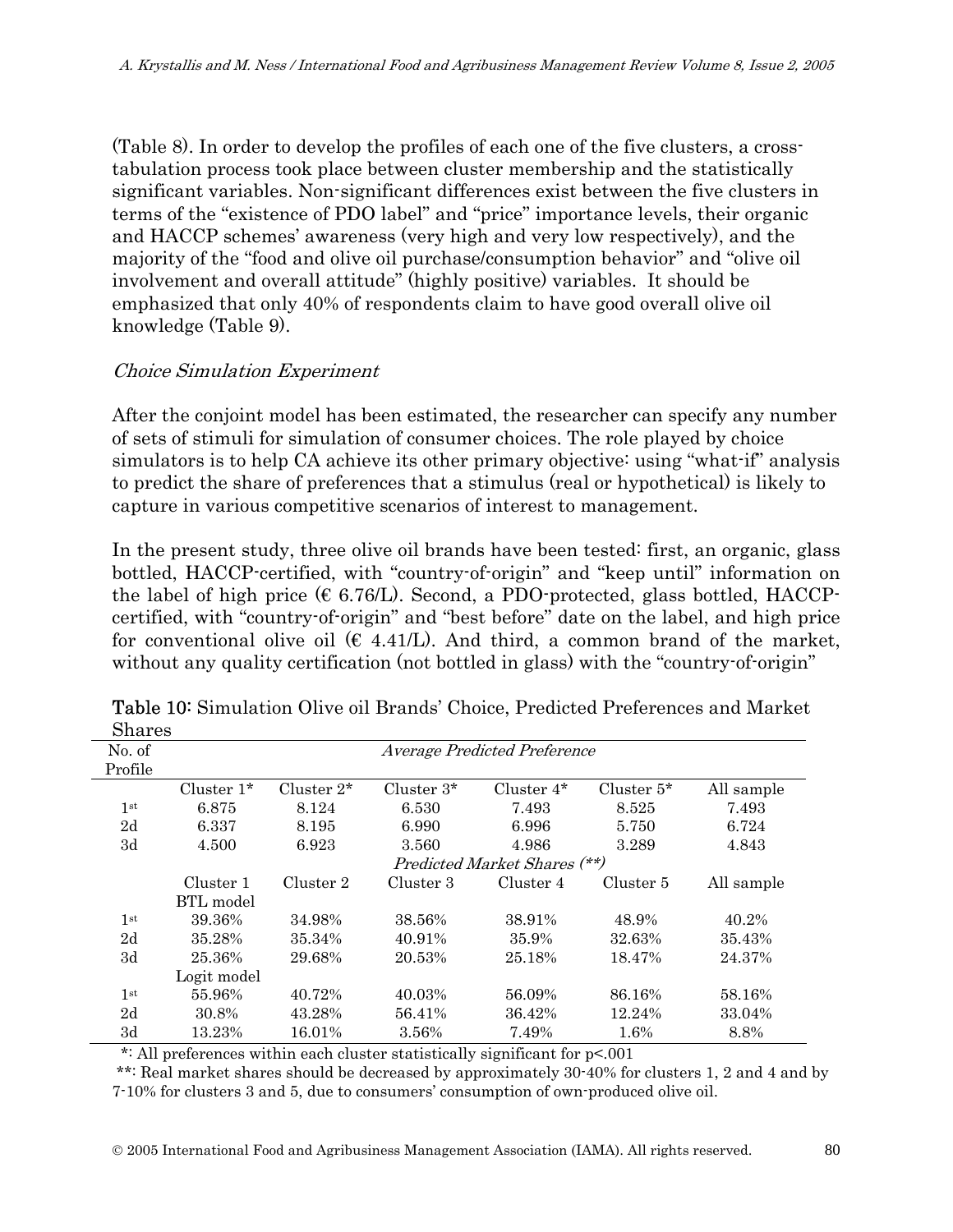(Table 8). In order to develop the profiles of each one of the five clusters, a crosstabulation process took place between cluster membership and the statistically significant variables. Non-significant differences exist between the five clusters in terms of the "existence of PDO label" and "price" importance levels, their organic and HACCP schemes' awareness (very high and very low respectively), and the majority of the "food and olive oil purchase/consumption behavior" and "olive oil involvement and overall attitude" (highly positive) variables. It should be emphasized that only 40% of respondents claim to have good overall olive oil knowledge (Table 9).

## Choice Simulation Experiment

After the conjoint model has been estimated, the researcher can specify any number of sets of stimuli for simulation of consumer choices. The role played by choice simulators is to help CA achieve its other primary objective: using "what-if" analysis to predict the share of preferences that a stimulus (real or hypothetical) is likely to capture in various competitive scenarios of interest to management.

In the present study, three olive oil brands have been tested: first, an organic, glass bottled, HACCP-certified, with "country-of-origin" and "keep until" information on the label of high price  $(\epsilon 6.76/L)$ . Second, a PDO-protected, glass bottled, HACCPcertified, with "country-of-origin" and "best before" date on the label, and high price for conventional olive oil ( $\epsilon$  4.41/L). And third, a common brand of the market, without any quality certification (not bottled in glass) with the "country-of-origin"

| ∾……             |                                     |               |               |               |               |            |
|-----------------|-------------------------------------|---------------|---------------|---------------|---------------|------------|
| No. of          | <b>Average Predicted Preference</b> |               |               |               |               |            |
| Profile         |                                     |               |               |               |               |            |
|                 | Cluster $1^*$                       | Cluster $2^*$ | Cluster $3^*$ | Cluster $4^*$ | Cluster $5^*$ | All sample |
| 1st             | 6.875                               | 8.124         | 6.530         | 7.493         | 8.525         | 7.493      |
| 2d              | 6.337                               | 8.195         | 6.990         | 6.996         | 5.750         | 6.724      |
| 3d              | 4.500                               | 6.923         | 3.560         | 4.986         | 3.289         | 4.843      |
|                 | Predicted Market Shares (**)        |               |               |               |               |            |
|                 | Cluster 1                           | Cluster 2     | Cluster 3     | Cluster 4     | Cluster 5     | All sample |
|                 | BTL model                           |               |               |               |               |            |
| 1 <sup>st</sup> | 39.36%                              | 34.98%        | 38.56%        | 38.91%        | 48.9%         | 40.2%      |
| 2d              | 35.28%                              | 35.34%        | 40.91%        | 35.9%         | 32.63%        | 35.43%     |
| 3d              | 25.36%                              | 29.68%        | 20.53%        | 25.18%        | 18.47%        | 24.37%     |
|                 | Logit model                         |               |               |               |               |            |
| 1 <sup>st</sup> | 55.96%                              | 40.72%        | 40.03%        | 56.09%        | 86.16%        | 58.16%     |
| 2d              | 30.8%                               | 43.28%        | 56.41%        | 36.42%        | 12.24%        | 33.04%     |
| 3d              | 13.23%                              | 16.01%        | 3.56%         | 7.49%         | 1.6%          | 8.8%       |

Table 10: Simulation Olive oil Brands' Choice, Predicted Preferences and Market Shares

\*: All preferences within each cluster statistically significant for p<.001

 \*\*: Real market shares should be decreased by approximately 30-40% for clusters 1, 2 and 4 and by 7-10% for clusters 3 and 5, due to consumers' consumption of own-produced olive oil.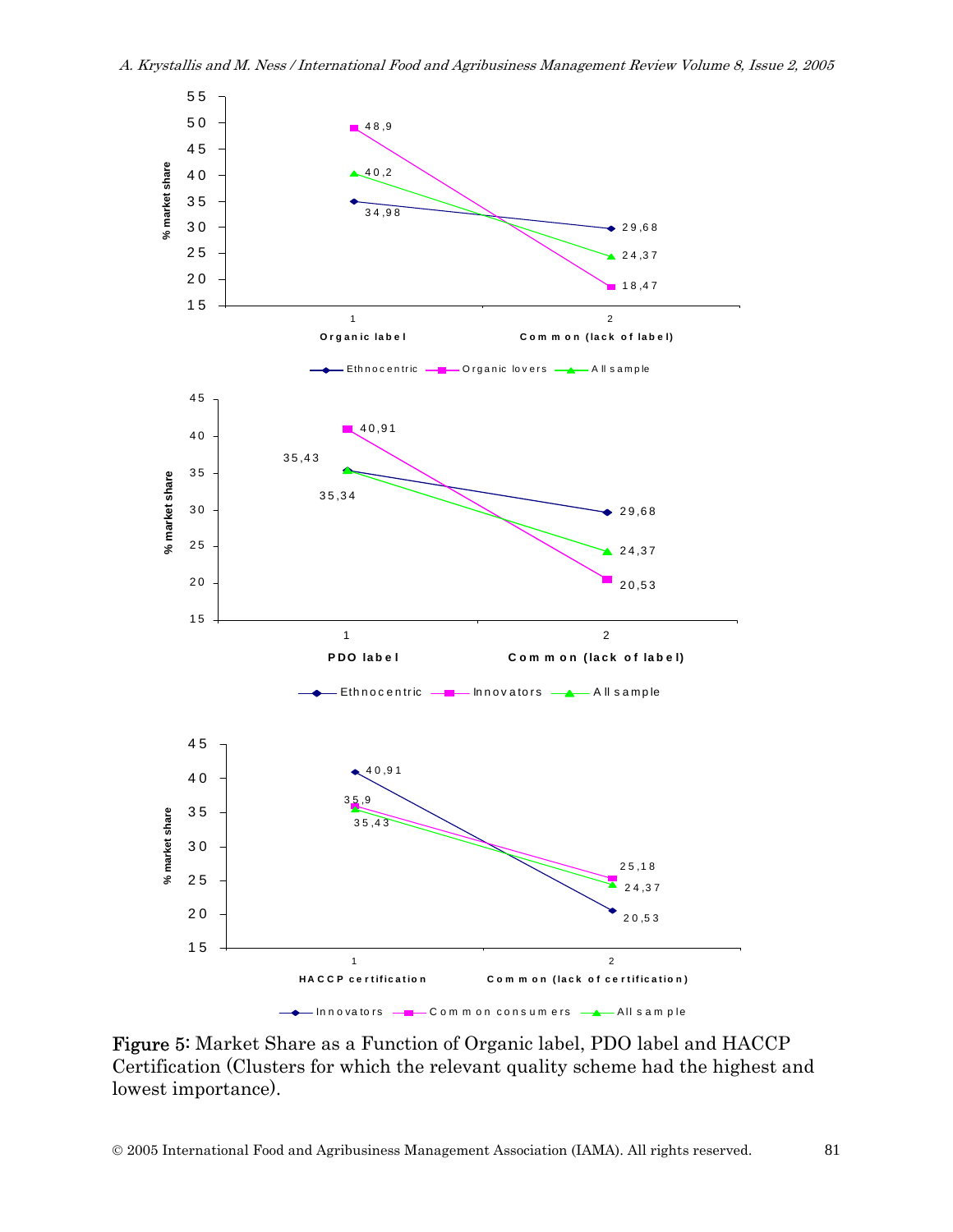

Figure 5: Market Share as a Function of Organic label, PDO label and HACCP Certification (Clusters for which the relevant quality scheme had the highest and lowest importance).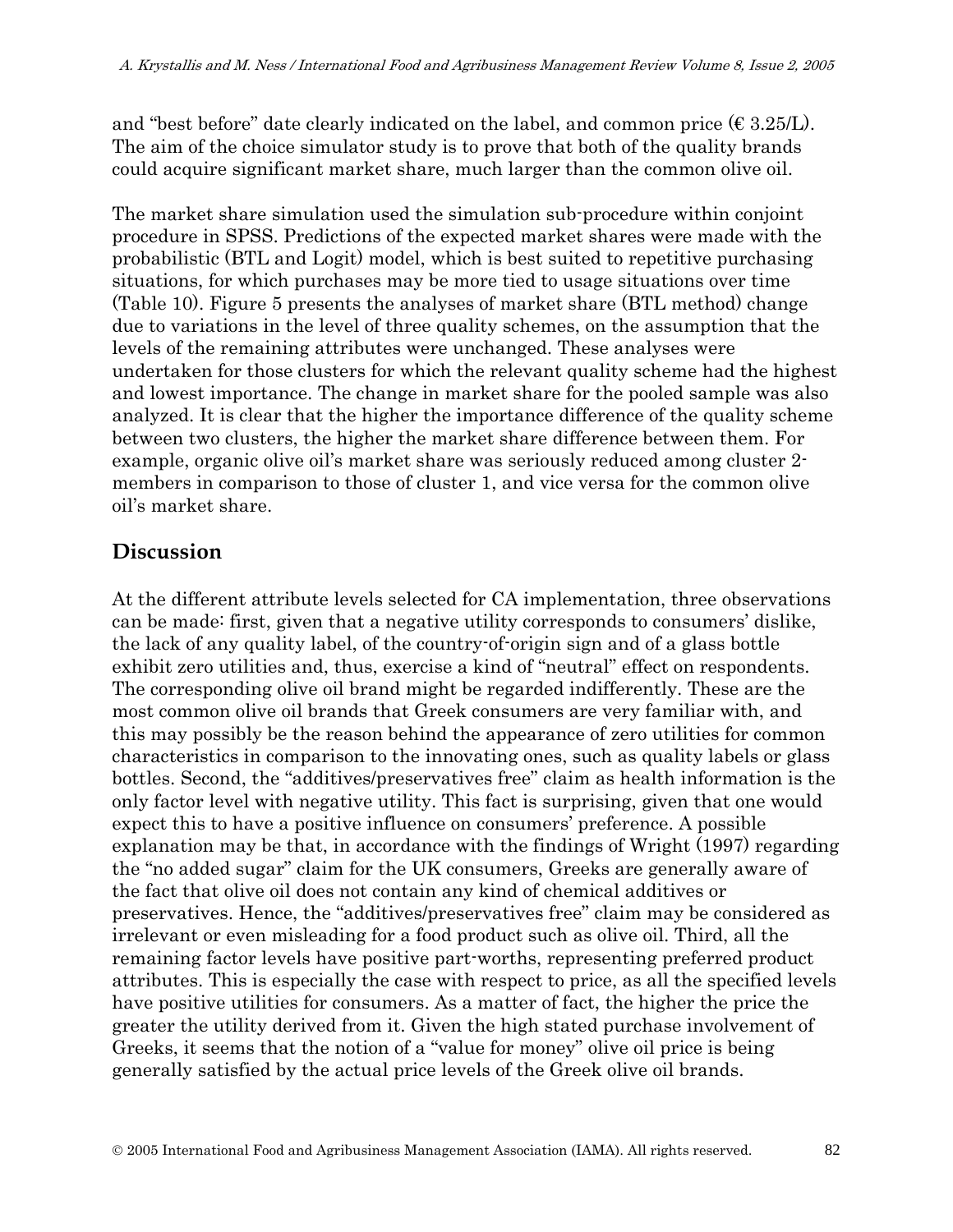and "best before" date clearly indicated on the label, and common price  $(\epsilon 3.25/L)$ . The aim of the choice simulator study is to prove that both of the quality brands could acquire significant market share, much larger than the common olive oil.

The market share simulation used the simulation sub-procedure within conjoint procedure in SPSS. Predictions of the expected market shares were made with the probabilistic (BTL and Logit) model, which is best suited to repetitive purchasing situations, for which purchases may be more tied to usage situations over time (Table 10). Figure 5 presents the analyses of market share (BTL method) change due to variations in the level of three quality schemes, on the assumption that the levels of the remaining attributes were unchanged. These analyses were undertaken for those clusters for which the relevant quality scheme had the highest and lowest importance. The change in market share for the pooled sample was also analyzed. It is clear that the higher the importance difference of the quality scheme between two clusters, the higher the market share difference between them. For example, organic olive oil's market share was seriously reduced among cluster 2 members in comparison to those of cluster 1, and vice versa for the common olive oil's market share.

# **Discussion**

At the different attribute levels selected for CA implementation, three observations can be made: first, given that a negative utility corresponds to consumers' dislike, the lack of any quality label, of the country-of-origin sign and of a glass bottle exhibit zero utilities and, thus, exercise a kind of "neutral" effect on respondents. The corresponding olive oil brand might be regarded indifferently. These are the most common olive oil brands that Greek consumers are very familiar with, and this may possibly be the reason behind the appearance of zero utilities for common characteristics in comparison to the innovating ones, such as quality labels or glass bottles. Second, the "additives/preservatives free" claim as health information is the only factor level with negative utility. This fact is surprising, given that one would expect this to have a positive influence on consumers' preference. A possible explanation may be that, in accordance with the findings of Wright (1997) regarding the "no added sugar" claim for the UK consumers, Greeks are generally aware of the fact that olive oil does not contain any kind of chemical additives or preservatives. Hence, the "additives/preservatives free" claim may be considered as irrelevant or even misleading for a food product such as olive oil. Third, all the remaining factor levels have positive part-worths, representing preferred product attributes. This is especially the case with respect to price, as all the specified levels have positive utilities for consumers. As a matter of fact, the higher the price the greater the utility derived from it. Given the high stated purchase involvement of Greeks, it seems that the notion of a "value for money" olive oil price is being generally satisfied by the actual price levels of the Greek olive oil brands.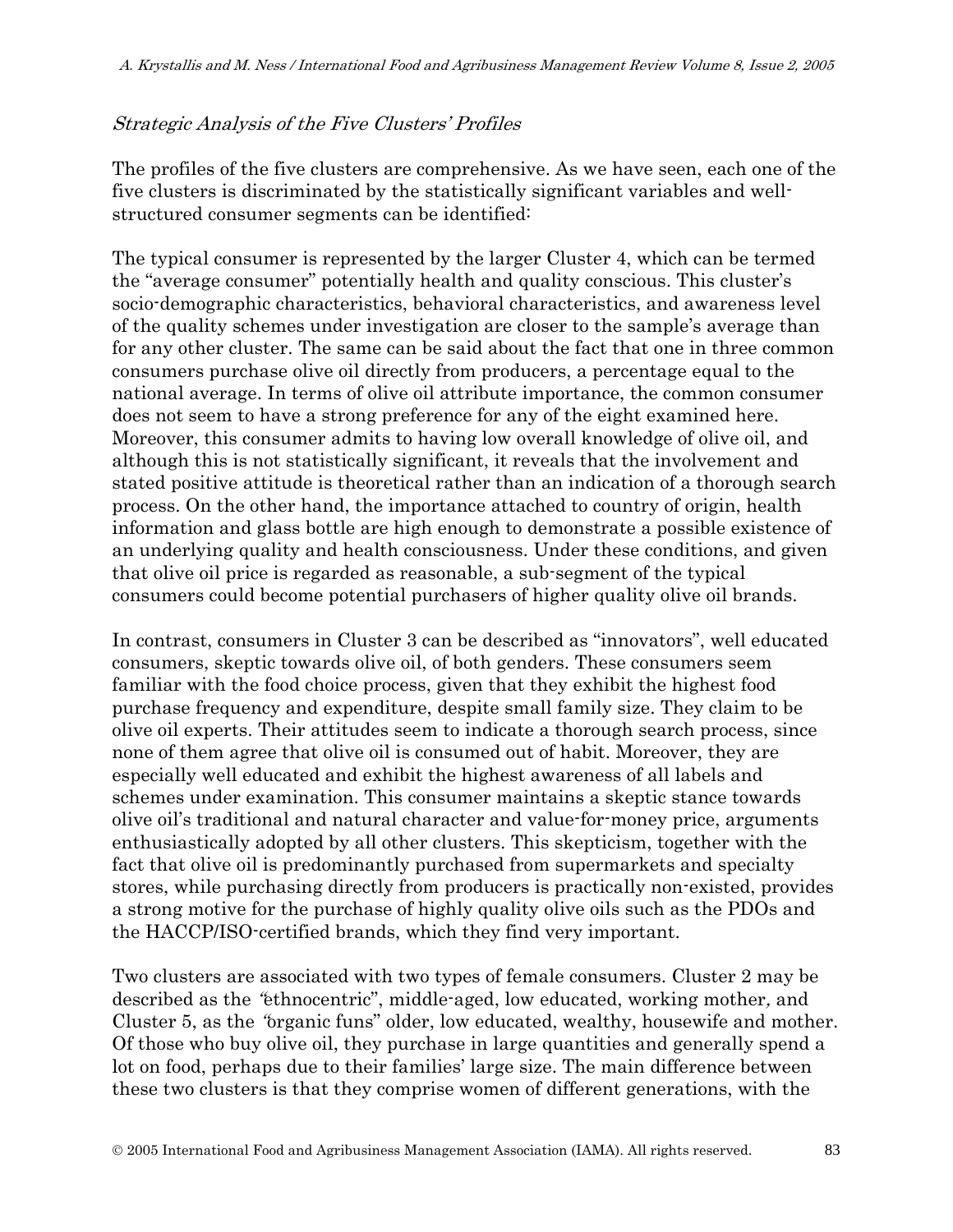## Strategic Analysis of the Five Clusters' Profiles

The profiles of the five clusters are comprehensive. As we have seen, each one of the five clusters is discriminated by the statistically significant variables and wellstructured consumer segments can be identified:

The typical consumer is represented by the larger Cluster 4, which can be termed the "average consumer" potentially health and quality conscious. This cluster's socio-demographic characteristics, behavioral characteristics, and awareness level of the quality schemes under investigation are closer to the sample's average than for any other cluster. The same can be said about the fact that one in three common consumers purchase olive oil directly from producers, a percentage equal to the national average. In terms of olive oil attribute importance, the common consumer does not seem to have a strong preference for any of the eight examined here. Moreover, this consumer admits to having low overall knowledge of olive oil, and although this is not statistically significant, it reveals that the involvement and stated positive attitude is theoretical rather than an indication of a thorough search process. On the other hand, the importance attached to country of origin, health information and glass bottle are high enough to demonstrate a possible existence of an underlying quality and health consciousness. Under these conditions, and given that olive oil price is regarded as reasonable, a sub-segment of the typical consumers could become potential purchasers of higher quality olive oil brands.

In contrast, consumers in Cluster 3 can be described as "innovators", well educated consumers, skeptic towards olive oil, of both genders. These consumers seem familiar with the food choice process, given that they exhibit the highest food purchase frequency and expenditure, despite small family size. They claim to be olive oil experts. Their attitudes seem to indicate a thorough search process, since none of them agree that olive oil is consumed out of habit. Moreover, they are especially well educated and exhibit the highest awareness of all labels and schemes under examination. This consumer maintains a skeptic stance towards olive oil's traditional and natural character and value-for-money price, arguments enthusiastically adopted by all other clusters. This skepticism, together with the fact that olive oil is predominantly purchased from supermarkets and specialty stores, while purchasing directly from producers is practically non-existed, provides a strong motive for the purchase of highly quality olive oils such as the PDOs and the HACCP/ISO-certified brands, which they find very important.

Two clusters are associated with two types of female consumers. Cluster 2 may be described as the "ethnocentric", middle-aged, low educated, working mother, and Cluster 5, as the "organic funs" older, low educated, wealthy, housewife and mother. Of those who buy olive oil, they purchase in large quantities and generally spend a lot on food, perhaps due to their families' large size. The main difference between these two clusters is that they comprise women of different generations, with the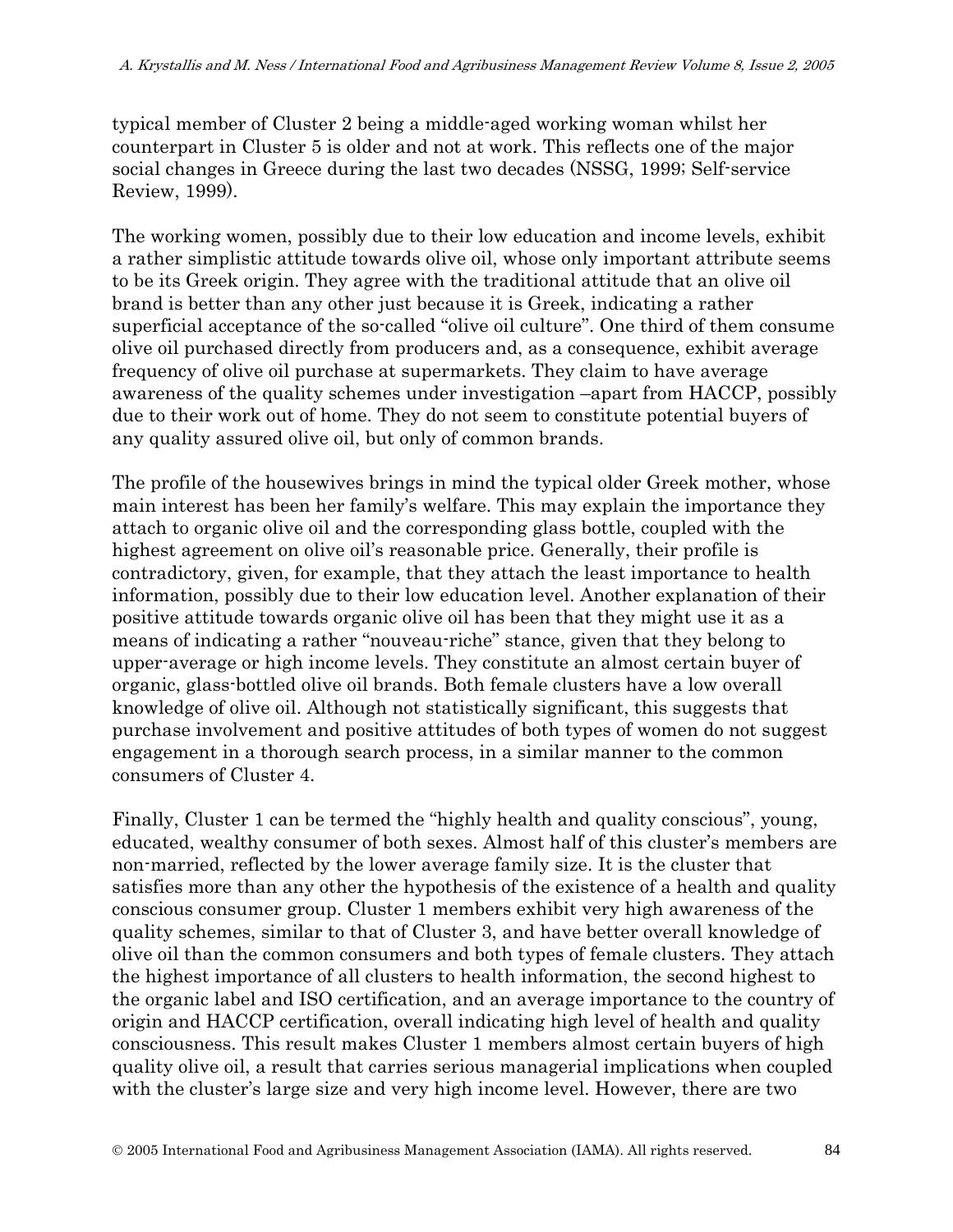typical member of Cluster 2 being a middle-aged working woman whilst her counterpart in Cluster 5 is older and not at work. This reflects one of the major social changes in Greece during the last two decades (NSSG, 1999; Self-service Review, 1999).

The working women, possibly due to their low education and income levels, exhibit a rather simplistic attitude towards olive oil, whose only important attribute seems to be its Greek origin. They agree with the traditional attitude that an olive oil brand is better than any other just because it is Greek, indicating a rather superficial acceptance of the so-called "olive oil culture". One third of them consume olive oil purchased directly from producers and, as a consequence, exhibit average frequency of olive oil purchase at supermarkets. They claim to have average awareness of the quality schemes under investigation –apart from HACCP, possibly due to their work out of home. They do not seem to constitute potential buyers of any quality assured olive oil, but only of common brands.

The profile of the housewives brings in mind the typical older Greek mother, whose main interest has been her family's welfare. This may explain the importance they attach to organic olive oil and the corresponding glass bottle, coupled with the highest agreement on olive oil's reasonable price. Generally, their profile is contradictory, given, for example, that they attach the least importance to health information, possibly due to their low education level. Another explanation of their positive attitude towards organic olive oil has been that they might use it as a means of indicating a rather "nouveau-riche" stance, given that they belong to upper-average or high income levels. They constitute an almost certain buyer of organic, glass-bottled olive oil brands. Both female clusters have a low overall knowledge of olive oil. Although not statistically significant, this suggests that purchase involvement and positive attitudes of both types of women do not suggest engagement in a thorough search process, in a similar manner to the common consumers of Cluster 4.

Finally, Cluster 1 can be termed the "highly health and quality conscious", young, educated, wealthy consumer of both sexes. Almost half of this cluster's members are non-married, reflected by the lower average family size. It is the cluster that satisfies more than any other the hypothesis of the existence of a health and quality conscious consumer group. Cluster 1 members exhibit very high awareness of the quality schemes, similar to that of Cluster 3, and have better overall knowledge of olive oil than the common consumers and both types of female clusters. They attach the highest importance of all clusters to health information, the second highest to the organic label and ISO certification, and an average importance to the country of origin and HACCP certification, overall indicating high level of health and quality consciousness. This result makes Cluster 1 members almost certain buyers of high quality olive oil, a result that carries serious managerial implications when coupled with the cluster's large size and very high income level. However, there are two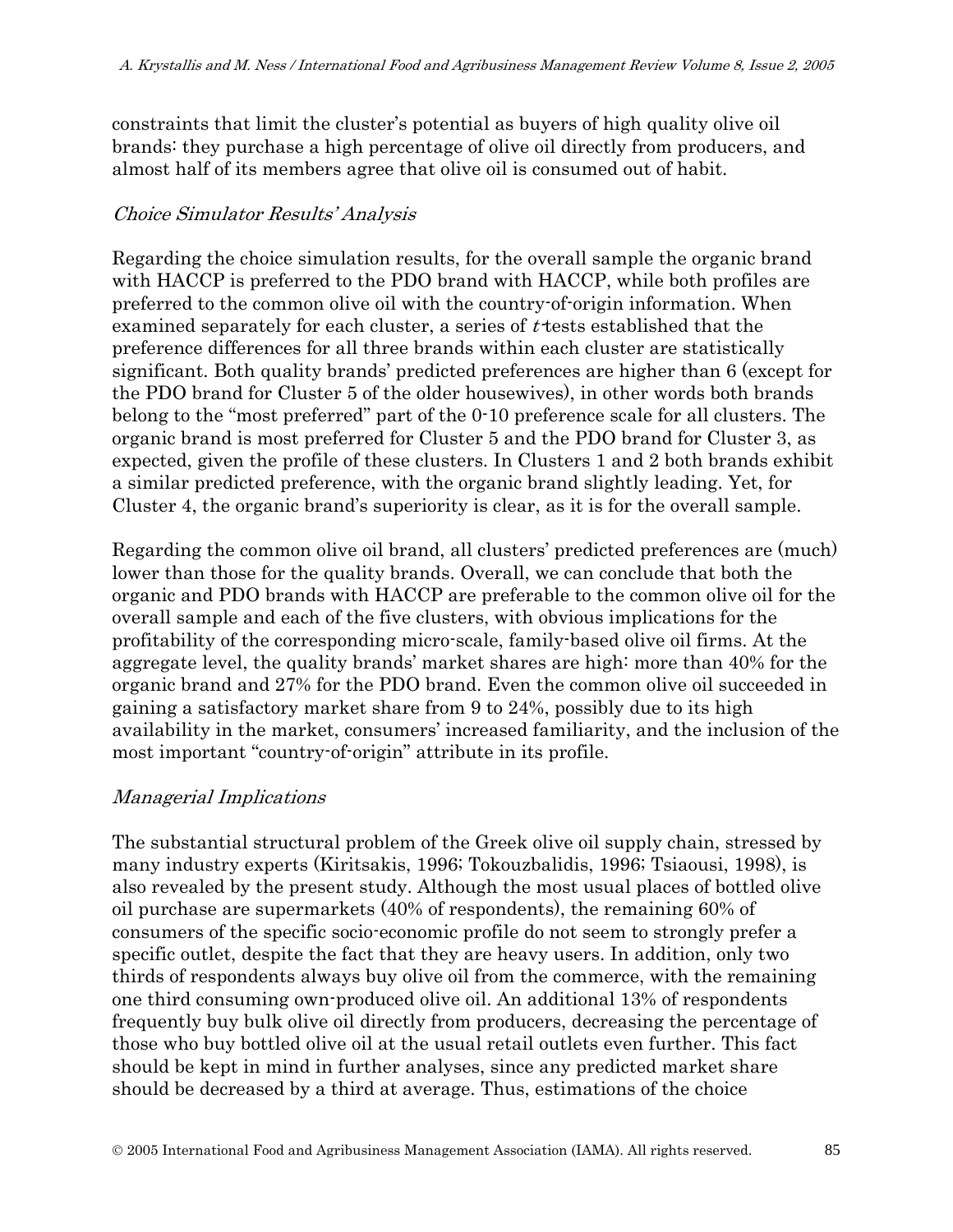constraints that limit the cluster's potential as buyers of high quality olive oil brands: they purchase a high percentage of olive oil directly from producers, and almost half of its members agree that olive oil is consumed out of habit.

### Choice Simulator Results' Analysis

Regarding the choice simulation results, for the overall sample the organic brand with HACCP is preferred to the PDO brand with HACCP, while both profiles are preferred to the common olive oil with the country-of-origin information. When examined separately for each cluster, a series of t-tests established that the preference differences for all three brands within each cluster are statistically significant. Both quality brands' predicted preferences are higher than 6 (except for the PDO brand for Cluster 5 of the older housewives), in other words both brands belong to the "most preferred" part of the 0-10 preference scale for all clusters. The organic brand is most preferred for Cluster 5 and the PDO brand for Cluster 3, as expected, given the profile of these clusters. In Clusters 1 and 2 both brands exhibit a similar predicted preference, with the organic brand slightly leading. Yet, for Cluster 4, the organic brand's superiority is clear, as it is for the overall sample.

Regarding the common olive oil brand, all clusters' predicted preferences are (much) lower than those for the quality brands. Overall, we can conclude that both the organic and PDO brands with HACCP are preferable to the common olive oil for the overall sample and each of the five clusters, with obvious implications for the profitability of the corresponding micro-scale, family-based olive oil firms. At the aggregate level, the quality brands' market shares are high: more than 40% for the organic brand and 27% for the PDO brand. Even the common olive oil succeeded in gaining a satisfactory market share from 9 to 24%, possibly due to its high availability in the market, consumers' increased familiarity, and the inclusion of the most important "country-of-origin" attribute in its profile.

## Managerial Implications

The substantial structural problem of the Greek olive oil supply chain, stressed by many industry experts (Kiritsakis, 1996; Tokouzbalidis, 1996; Tsiaousi, 1998), is also revealed by the present study. Although the most usual places of bottled olive oil purchase are supermarkets (40% of respondents), the remaining 60% of consumers of the specific socio-economic profile do not seem to strongly prefer a specific outlet, despite the fact that they are heavy users. In addition, only two thirds of respondents always buy olive oil from the commerce, with the remaining one third consuming own-produced olive oil. An additional 13% of respondents frequently buy bulk olive oil directly from producers, decreasing the percentage of those who buy bottled olive oil at the usual retail outlets even further. This fact should be kept in mind in further analyses, since any predicted market share should be decreased by a third at average. Thus, estimations of the choice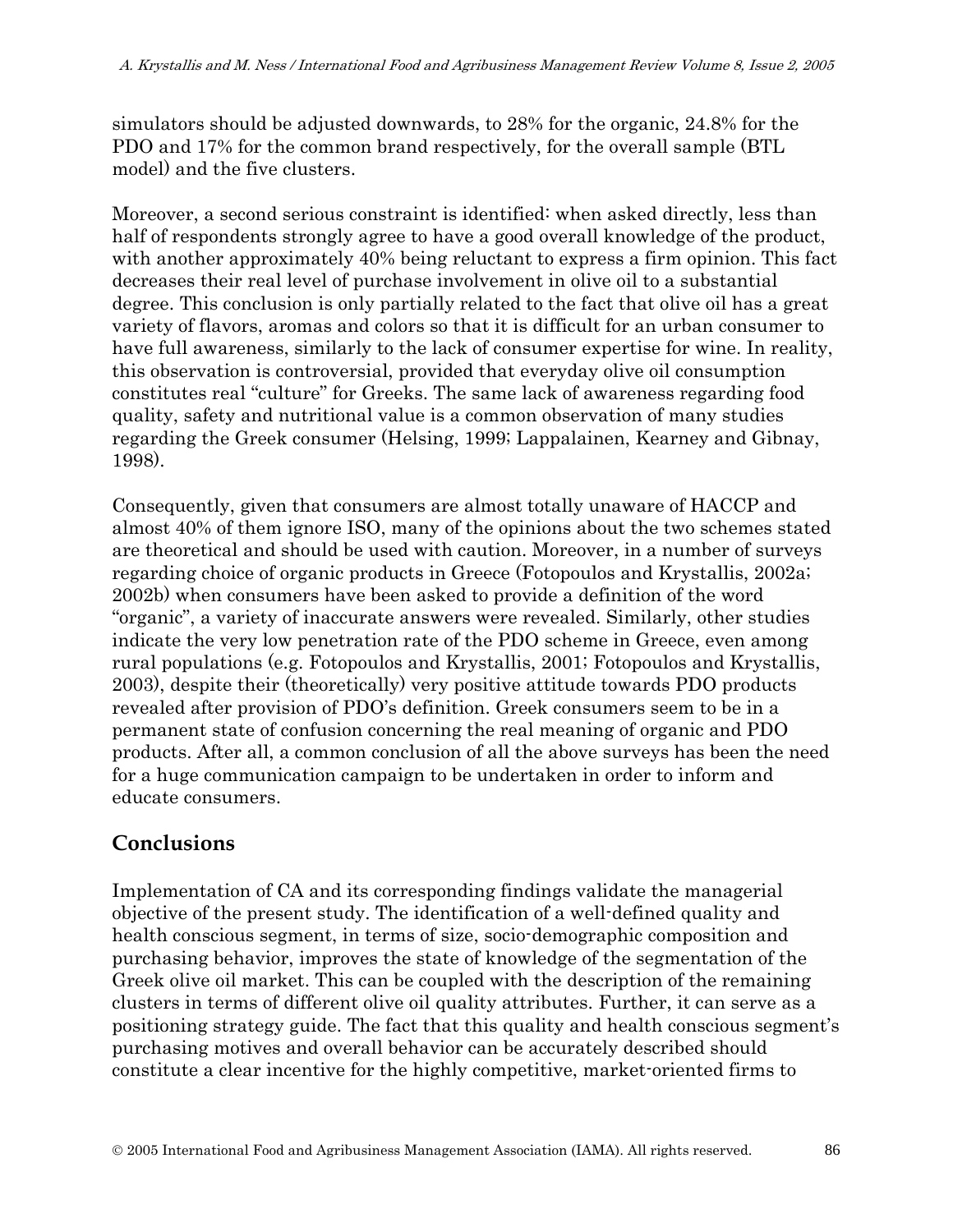simulators should be adjusted downwards, to 28% for the organic, 24.8% for the PDO and 17% for the common brand respectively, for the overall sample (BTL model) and the five clusters.

Moreover, a second serious constraint is identified: when asked directly, less than half of respondents strongly agree to have a good overall knowledge of the product, with another approximately 40% being reluctant to express a firm opinion. This fact decreases their real level of purchase involvement in olive oil to a substantial degree. This conclusion is only partially related to the fact that olive oil has a great variety of flavors, aromas and colors so that it is difficult for an urban consumer to have full awareness, similarly to the lack of consumer expertise for wine. In reality, this observation is controversial, provided that everyday olive oil consumption constitutes real "culture" for Greeks. The same lack of awareness regarding food quality, safety and nutritional value is a common observation of many studies regarding the Greek consumer (Helsing, 1999; Lappalainen, Kearney and Gibnay, 1998).

Consequently, given that consumers are almost totally unaware of HACCP and almost 40% of them ignore ISO, many of the opinions about the two schemes stated are theoretical and should be used with caution. Moreover, in a number of surveys regarding choice of organic products in Greece (Fotopoulos and Krystallis, 2002a; 2002b) when consumers have been asked to provide a definition of the word "organic", a variety of inaccurate answers were revealed. Similarly, other studies indicate the very low penetration rate of the PDO scheme in Greece, even among rural populations (e.g. Fotopoulos and Krystallis, 2001; Fotopoulos and Krystallis, 2003), despite their (theoretically) very positive attitude towards PDO products revealed after provision of PDO's definition. Greek consumers seem to be in a permanent state of confusion concerning the real meaning of organic and PDO products. After all, a common conclusion of all the above surveys has been the need for a huge communication campaign to be undertaken in order to inform and educate consumers.

# **Conclusions**

Implementation of CA and its corresponding findings validate the managerial objective of the present study. The identification of a well-defined quality and health conscious segment, in terms of size, socio-demographic composition and purchasing behavior, improves the state of knowledge of the segmentation of the Greek olive oil market. This can be coupled with the description of the remaining clusters in terms of different olive oil quality attributes. Further, it can serve as a positioning strategy guide. The fact that this quality and health conscious segment's purchasing motives and overall behavior can be accurately described should constitute a clear incentive for the highly competitive, market-oriented firms to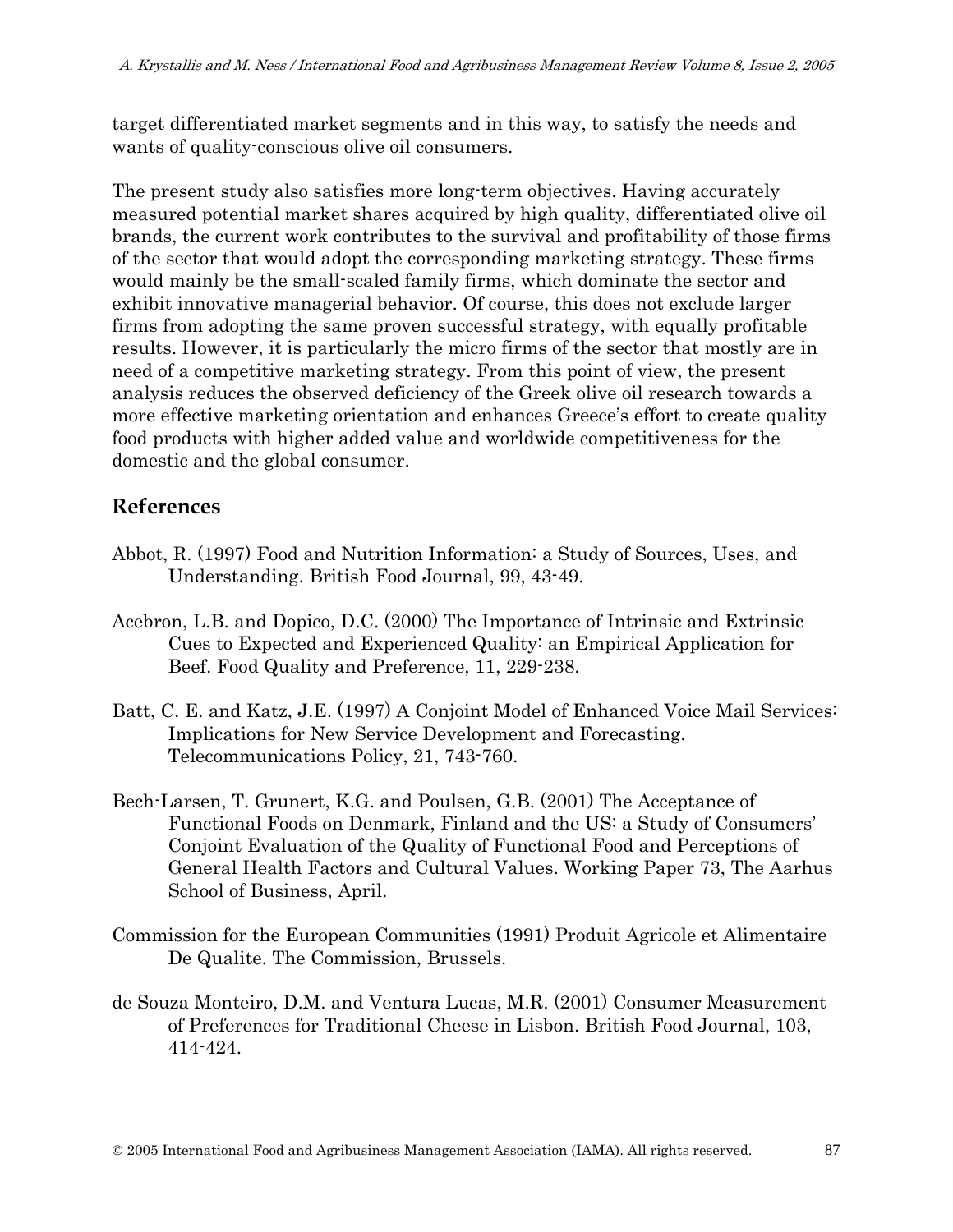target differentiated market segments and in this way, to satisfy the needs and wants of quality-conscious olive oil consumers.

The present study also satisfies more long-term objectives. Having accurately measured potential market shares acquired by high quality, differentiated olive oil brands, the current work contributes to the survival and profitability of those firms of the sector that would adopt the corresponding marketing strategy. These firms would mainly be the small-scaled family firms, which dominate the sector and exhibit innovative managerial behavior. Of course, this does not exclude larger firms from adopting the same proven successful strategy, with equally profitable results. However, it is particularly the micro firms of the sector that mostly are in need of a competitive marketing strategy. From this point of view, the present analysis reduces the observed deficiency of the Greek olive oil research towards a more effective marketing orientation and enhances Greece's effort to create quality food products with higher added value and worldwide competitiveness for the domestic and the global consumer.

# **References**

- Abbot, R. (1997) Food and Nutrition Information: a Study of Sources, Uses, and Understanding. British Food Journal, 99, 43-49.
- Acebron, L.B. and Dopico, D.C. (2000) The Importance of Intrinsic and Extrinsic Cues to Expected and Experienced Quality: an Empirical Application for Beef. Food Quality and Preference, 11, 229-238.
- Batt, C. E. and Katz, J.E. (1997) A Conjoint Model of Enhanced Voice Mail Services: Implications for New Service Development and Forecasting. Telecommunications Policy, 21, 743-760.
- Bech-Larsen, T. Grunert, K.G. and Poulsen, G.B. (2001) The Acceptance of Functional Foods on Denmark, Finland and the US: a Study of Consumers' Conjoint Evaluation of the Quality of Functional Food and Perceptions of General Health Factors and Cultural Values. Working Paper 73, The Aarhus School of Business, April.
- Commission for the European Communities (1991) Produit Agricole et Alimentaire De Qualite. The Commission, Brussels.
- de Souza Monteiro, D.M. and Ventura Lucas, M.R. (2001) Consumer Measurement of Preferences for Traditional Cheese in Lisbon. British Food Journal, 103, 414-424.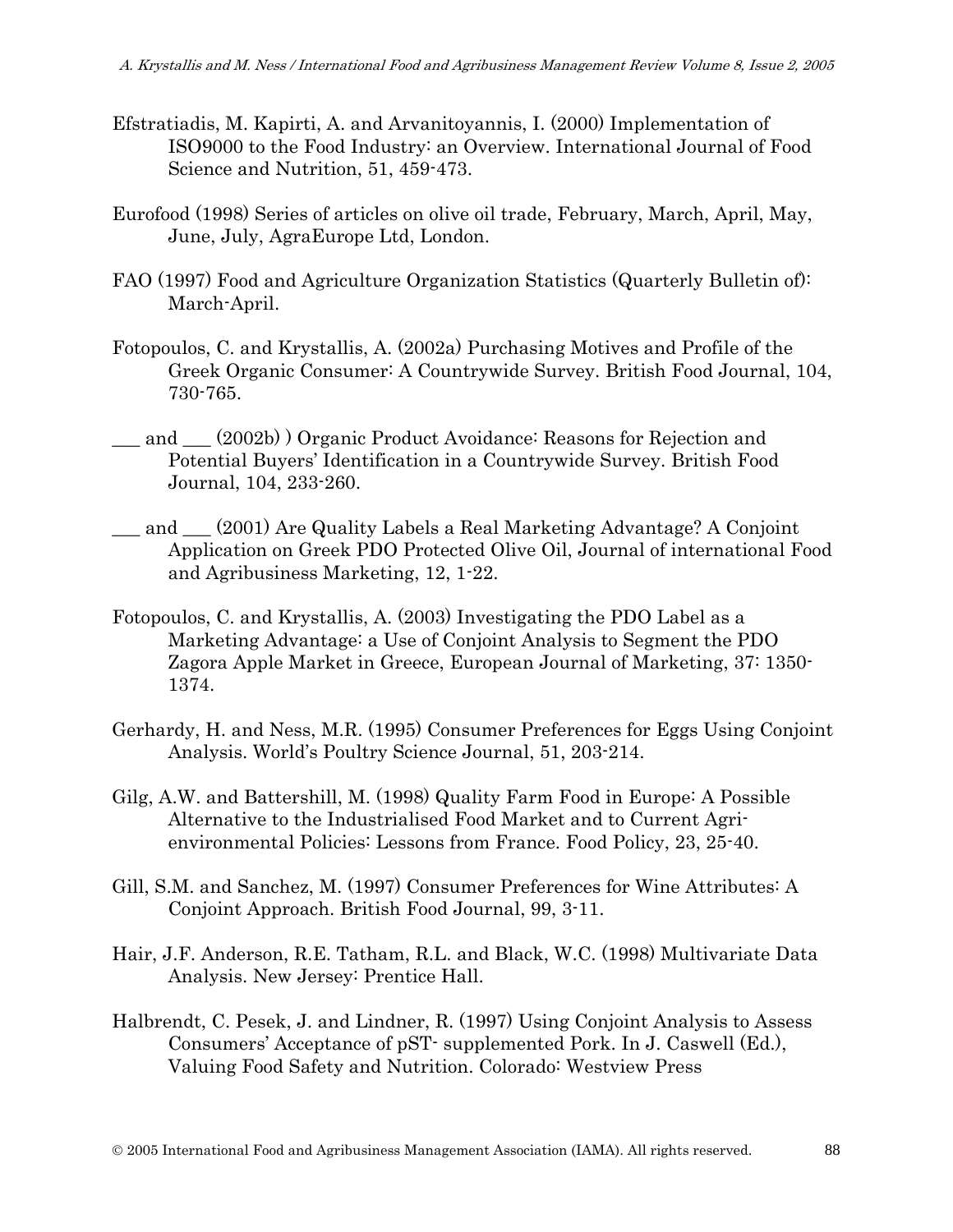- Efstratiadis, M. Kapirti, A. and Arvanitoyannis, I. (2000) Implementation of ISO9000 to the Food Industry: an Overview. International Journal of Food Science and Nutrition, 51, 459-473.
- Eurofood (1998) Series of articles on olive oil trade, February, March, April, May, June, July, AgraEurope Ltd, London.
- FAO (1997) Food and Agriculture Organization Statistics (Quarterly Bulletin of): March-April.
- Fotopoulos, C. and Krystallis, A. (2002a) Purchasing Motives and Profile of the Greek Organic Consumer: A Countrywide Survey. British Food Journal, 104, 730-765.
- and (2002b) Organic Product Avoidance: Reasons for Rejection and Potential Buyers' Identification in a Countrywide Survey. British Food Journal, 104, 233-260.
- and (2001) Are Quality Labels a Real Marketing Advantage? A Conjoint Application on Greek PDO Protected Olive Oil, Journal of international Food and Agribusiness Marketing, 12, 1-22.
- Fotopoulos, C. and Krystallis, A. (2003) Investigating the PDO Label as a Marketing Advantage: a Use of Conjoint Analysis to Segment the PDO Zagora Apple Market in Greece, European Journal of Marketing, 37: 1350- 1374.
- Gerhardy, H. and Ness, M.R. (1995) Consumer Preferences for Eggs Using Conjoint Analysis. World's Poultry Science Journal, 51, 203-214.
- Gilg, A.W. and Battershill, M. (1998) Quality Farm Food in Europe: A Possible Alternative to the Industrialised Food Market and to Current Agrienvironmental Policies: Lessons from France. Food Policy, 23, 25-40.
- Gill, S.M. and Sanchez, M. (1997) Consumer Preferences for Wine Attributes: A Conjoint Approach. British Food Journal, 99, 3-11.
- Hair, J.F. Anderson, R.E. Tatham, R.L. and Black, W.C. (1998) Multivariate Data Analysis. New Jersey: Prentice Hall.
- Halbrendt, C. Pesek, J. and Lindner, R. (1997) Using Conjoint Analysis to Assess Consumers' Acceptance of pST- supplemented Pork. In J. Caswell (Ed.), Valuing Food Safety and Nutrition. Colorado: Westview Press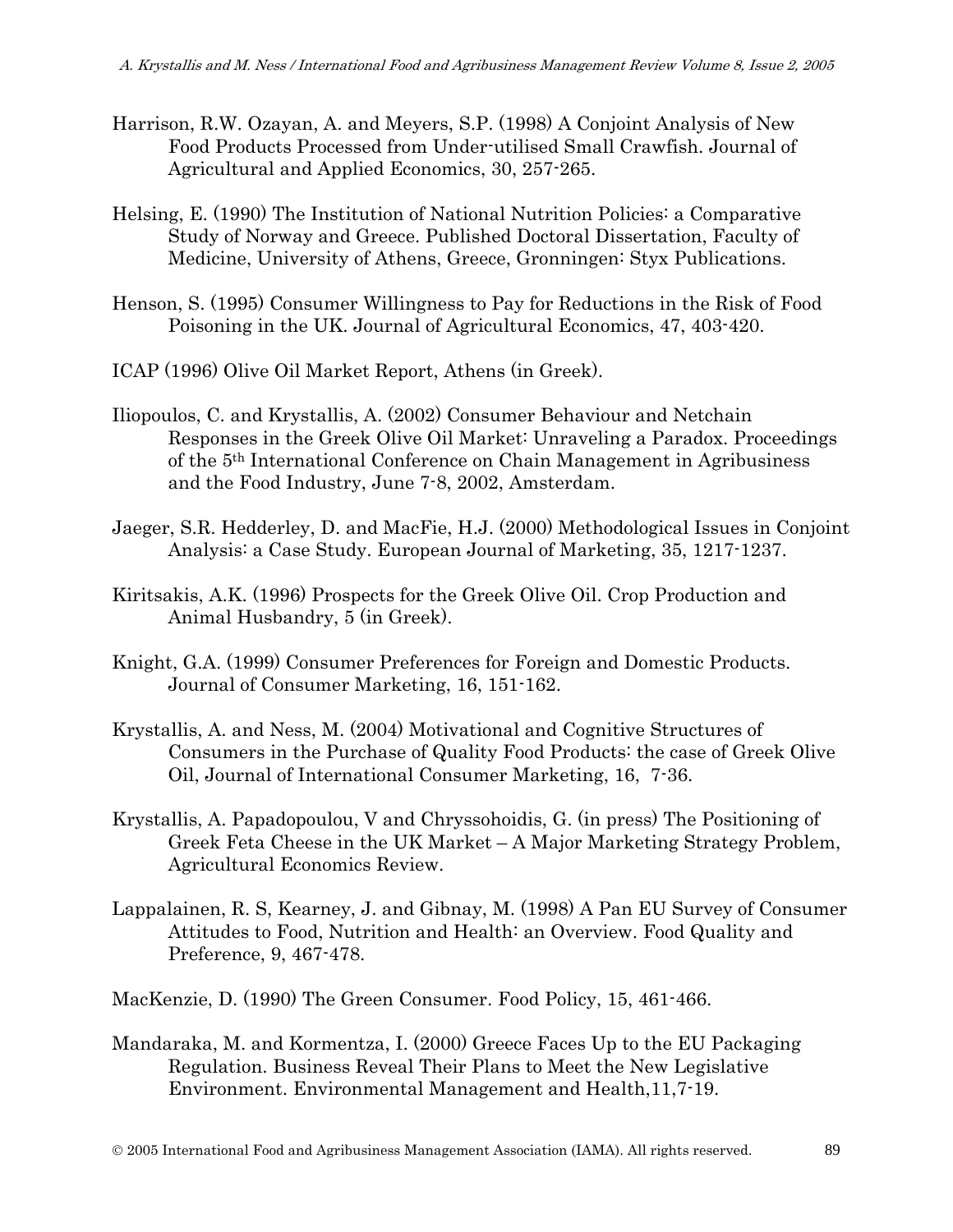- Harrison, R.W. Ozayan, A. and Meyers, S.P. (1998) A Conjoint Analysis of New Food Products Processed from Under-utilised Small Crawfish. Journal of Agricultural and Applied Economics, 30, 257-265.
- Helsing, E. (1990) The Institution of National Nutrition Policies: a Comparative Study of Norway and Greece. Published Doctoral Dissertation, Faculty of Medicine, University of Athens, Greece, Gronningen: Styx Publications.
- Henson, S. (1995) Consumer Willingness to Pay for Reductions in the Risk of Food Poisoning in the UK. Journal of Agricultural Economics, 47, 403-420.
- ICAP (1996) Olive Oil Market Report, Athens (in Greek).
- Iliopoulos, C. and Krystallis, A. (2002) Consumer Behaviour and Netchain Responses in the Greek Olive Oil Market: Unraveling a Paradox. Proceedings of the 5th International Conference on Chain Management in Agribusiness and the Food Industry, June 7-8, 2002, Amsterdam.
- Jaeger, S.R. Hedderley, D. and MacFie, H.J. (2000) Methodological Issues in Conjoint Analysis: a Case Study. European Journal of Marketing, 35, 1217-1237.
- Kiritsakis, A.K. (1996) Prospects for the Greek Olive Oil. Crop Production and Animal Husbandry, 5 (in Greek).
- Knight, G.A. (1999) Consumer Preferences for Foreign and Domestic Products. Journal of Consumer Marketing, 16, 151-162.
- Krystallis, A. and Ness, M. (2004) Motivational and Cognitive Structures of Consumers in the Purchase of Quality Food Products: the case of Greek Olive Oil, Journal of International Consumer Marketing, 16, 7-36.
- Krystallis, A. Papadopoulou, V and Chryssohoidis, G. (in press) The Positioning of Greek Feta Cheese in the UK Market – A Major Marketing Strategy Problem, Agricultural Economics Review.
- Lappalainen, R. S, Kearney, J. and Gibnay, M. (1998) A Pan EU Survey of Consumer Attitudes to Food, Nutrition and Health: an Overview. Food Quality and Preference, 9, 467-478.

MacKenzie, D. (1990) The Green Consumer. Food Policy, 15, 461-466.

Mandaraka, M. and Kormentza, I. (2000) Greece Faces Up to the EU Packaging Regulation. Business Reveal Their Plans to Meet the New Legislative Environment. Environmental Management and Health,11,7-19.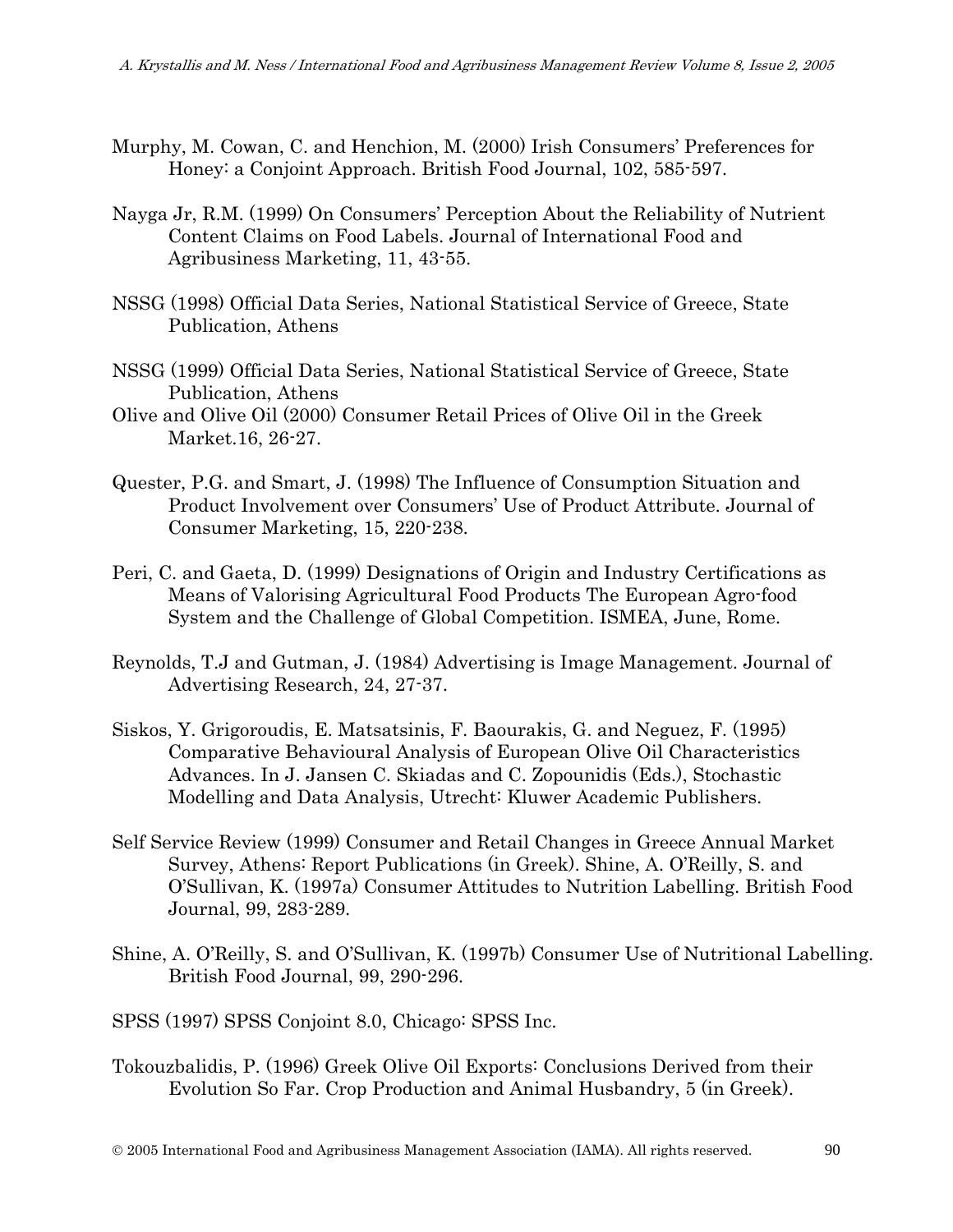- Murphy, M. Cowan, C. and Henchion, M. (2000) Irish Consumers' Preferences for Honey: a Conjoint Approach. British Food Journal, 102, 585-597.
- Nayga Jr, R.M. (1999) On Consumers' Perception About the Reliability of Nutrient Content Claims on Food Labels. Journal of International Food and Agribusiness Marketing, 11, 43-55.
- NSSG (1998) Official Data Series, National Statistical Service of Greece, State Publication, Athens
- NSSG (1999) Official Data Series, National Statistical Service of Greece, State Publication, Athens
- Olive and Olive Oil (2000) Consumer Retail Prices of Olive Oil in the Greek Market.16, 26-27.
- Quester, P.G. and Smart, J. (1998) The Influence of Consumption Situation and Product Involvement over Consumers' Use of Product Attribute. Journal of Consumer Marketing, 15, 220-238.
- Peri, C. and Gaeta, D. (1999) Designations of Origin and Industry Certifications as Means of Valorising Agricultural Food Products The European Agro-food System and the Challenge of Global Competition. ISMEA, June, Rome.
- Reynolds, T.J and Gutman, J. (1984) Advertising is Image Management. Journal of Advertising Research, 24, 27-37.
- Siskos, Y. Grigoroudis, E. Matsatsinis, F. Baourakis, G. and Neguez, F. (1995) Comparative Behavioural Analysis of European Olive Oil Characteristics Advances. In J. Jansen C. Skiadas and C. Zopounidis (Eds.), Stochastic Modelling and Data Analysis, Utrecht: Kluwer Academic Publishers.
- Self Service Review (1999) Consumer and Retail Changes in Greece Annual Market Survey, Athens: Report Publications (in Greek). Shine, A. O'Reilly, S. and O'Sullivan, K. (1997a) Consumer Attitudes to Nutrition Labelling. British Food Journal, 99, 283-289.
- Shine, A. O'Reilly, S. and O'Sullivan, K. (1997b) Consumer Use of Nutritional Labelling. British Food Journal, 99, 290-296.
- SPSS (1997) SPSS Conjoint 8.0, Chicago: SPSS Inc.
- Tokouzbalidis, P. (1996) Greek Olive Oil Exports: Conclusions Derived from their Evolution So Far. Crop Production and Animal Husbandry, 5 (in Greek).